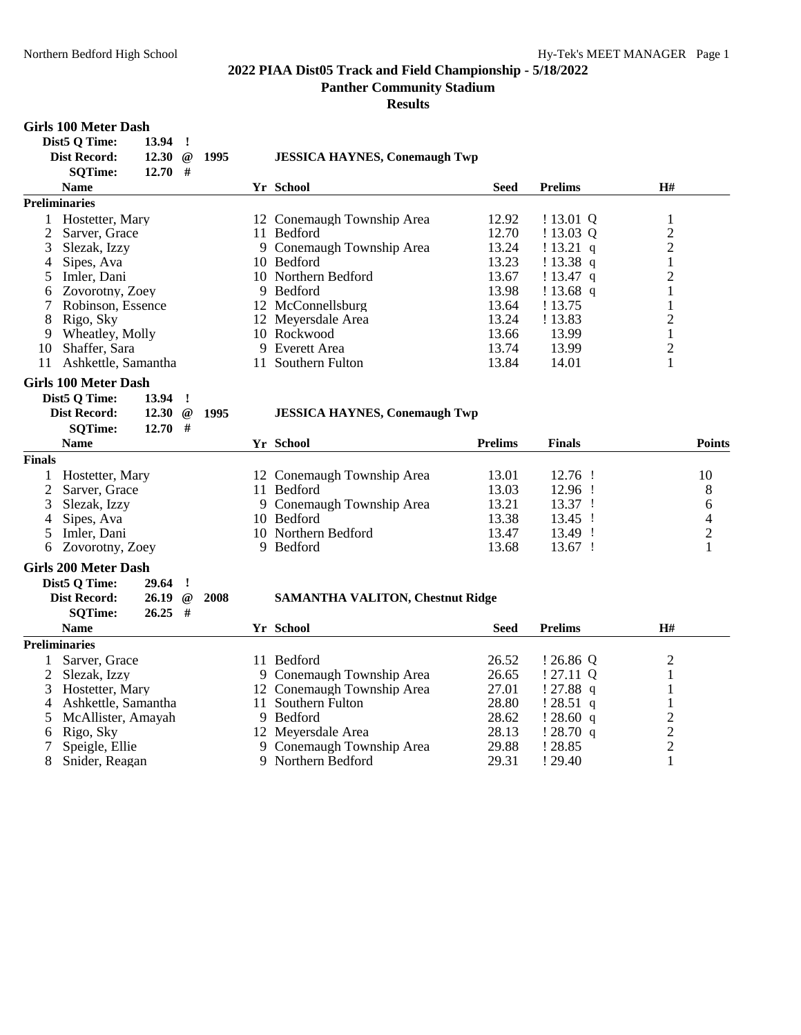**Panther Community Stadium**

**Results**

#### **Girls 100 Meter Dash Dist5 Q Time: 13.94 !**

|                | $P_{\text{D}}$ DISLY Q THE.<br>エフ・フラ<br>Dist Record:<br>12.30<br><b>SQTime:</b> | $12.70$ # |          | @ 1995 | <b>JESSICA HAYNES, Conemaugh Twp</b>    |                |                |                |                         |
|----------------|---------------------------------------------------------------------------------|-----------|----------|--------|-----------------------------------------|----------------|----------------|----------------|-------------------------|
|                | <b>Name</b>                                                                     |           |          |        | Yr School                               | <b>Seed</b>    | <b>Prelims</b> | H#             |                         |
|                | <b>Preliminaries</b>                                                            |           |          |        |                                         |                |                |                |                         |
|                | 1 Hostetter, Mary                                                               |           |          |        | 12 Conemaugh Township Area              | 12.92          | $!13.01$ Q     | $\mathbf{1}$   |                         |
| 2              | Sarver, Grace                                                                   |           |          |        | 11 Bedford                              | 12.70          | !13.03Q        | $\overline{2}$ |                         |
| 3              | Slezak, Izzy                                                                    |           |          |        | 9 Conemaugh Township Area               | 13.24          | !13.21 q       | $\overline{2}$ |                         |
| 4              | Sipes, Ava                                                                      |           |          |        | 10 Bedford                              | 13.23          | !13.38 q       | $\mathbf{1}$   |                         |
| 5              | Imler, Dani                                                                     |           |          |        | 10 Northern Bedford                     | 13.67          | !13.47 q       | $\overline{2}$ |                         |
| 6              | Zovorotny, Zoey                                                                 |           |          |        | 9 Bedford                               | 13.98          | $!13.68$ q     | 1              |                         |
| 7              | Robinson, Essence                                                               |           |          |        | 12 McConnellsburg                       | 13.64          | ! 13.75        | $\mathbf{1}$   |                         |
| 8              | Rigo, Sky                                                                       |           |          |        | 12 Meyersdale Area                      | 13.24          | ! 13.83        | $\overline{2}$ |                         |
| 9              | Wheatley, Molly                                                                 |           |          |        | 10 Rockwood                             | 13.66          | 13.99          | $\mathbf 1$    |                         |
| 10             | Shaffer, Sara                                                                   |           |          |        | 9 Everett Area                          | 13.74          | 13.99          | $\overline{2}$ |                         |
| 11             | Ashkettle, Samantha                                                             |           |          |        | 11 Southern Fulton                      | 13.84          | 14.01          | $\mathbf{1}$   |                         |
|                |                                                                                 |           |          |        |                                         |                |                |                |                         |
|                | <b>Girls 100 Meter Dash</b>                                                     |           |          |        |                                         |                |                |                |                         |
|                | Dist5 Q Time:<br>13.94                                                          |           | $\cdot$  |        |                                         |                |                |                |                         |
|                | <b>Dist Record:</b><br>12.30                                                    |           | $\omega$ | 1995   | <b>JESSICA HAYNES, Conemaugh Twp</b>    |                |                |                |                         |
|                | <b>SQTime:</b>                                                                  | $12.70$ # |          |        |                                         |                |                |                |                         |
|                | <b>Name</b>                                                                     |           |          |        | Yr School                               | <b>Prelims</b> | <b>Finals</b>  |                | <b>Points</b>           |
| <b>Finals</b>  |                                                                                 |           |          |        |                                         |                |                |                |                         |
| 1              | Hostetter, Mary                                                                 |           |          |        | 12 Conemaugh Township Area              | 13.01          | 12.76 !        |                | 10                      |
| 2              | Sarver, Grace                                                                   |           |          |        | 11 Bedford                              | 13.03          | 12.96 !        |                | 8                       |
| 3              | Slezak, Izzy                                                                    |           |          |        | 9 Conemaugh Township Area               | 13.21          | 13.37 !        |                | 6                       |
| 4              | Sipes, Ava                                                                      |           |          |        | 10 Bedford                              | 13.38          | 13.45 !        |                | $\overline{\mathbf{4}}$ |
| 5              | Imler, Dani                                                                     |           |          |        | 10 Northern Bedford                     | 13.47          | 13.49 !        |                | $\overline{c}$          |
| 6              | Zovorotny, Zoey                                                                 |           |          |        | 9 Bedford                               | 13.68          | 13.67 !        |                | $\mathbf{1}$            |
|                | <b>Girls 200 Meter Dash</b>                                                     |           |          |        |                                         |                |                |                |                         |
|                | Dist5 Q Time:<br>29.64                                                          |           | $\cdot$  |        |                                         |                |                |                |                         |
|                | <b>Dist Record:</b>                                                             | $26.19$ @ |          | 2008   | <b>SAMANTHA VALITON, Chestnut Ridge</b> |                |                |                |                         |
|                | <b>SQTime:</b>                                                                  | $26.25$ # |          |        |                                         |                |                |                |                         |
|                | <b>Name</b>                                                                     |           |          |        | Yr School                               | <b>Seed</b>    | <b>Prelims</b> | H#             |                         |
|                | <b>Preliminaries</b>                                                            |           |          |        |                                         |                |                |                |                         |
| 1              | Sarver, Grace                                                                   |           |          |        | 11 Bedford                              | 26.52          | !26.86Q        | $\overline{c}$ |                         |
| $\overline{2}$ | Slezak, Izzy                                                                    |           |          |        | 9 Conemaugh Township Area               | 26.65          | ! 27.11 Q      | $\mathbf{1}$   |                         |
| 3              | Hostetter, Mary                                                                 |           |          |        | 12 Conemaugh Township Area              | 27.01          | $!27.88$ q     | 1              |                         |
| 4              | Ashkettle, Samantha                                                             |           |          |        | 11 Southern Fulton                      | 28.80          | !28.51 q       | $\mathbf{1}$   |                         |
| 5              | McAllister, Amayah                                                              |           |          |        | 9 Bedford                               | 28.62          | !28.60 q       |                |                         |
| 6              | Rigo, Sky                                                                       |           |          |        | 12 Meyersdale Area                      | 28.13          | !28.70 q       |                |                         |
|                | Speigle, Ellie                                                                  |           |          |        | 9 Conemaugh Township Area               | 29.88          | ! 28.85        | $\frac{2}{2}$  |                         |
| 8              | Snider, Reagan                                                                  |           |          |        | 9 Northern Bedford                      | 29.31          | !29.40         | $\mathbf{1}$   |                         |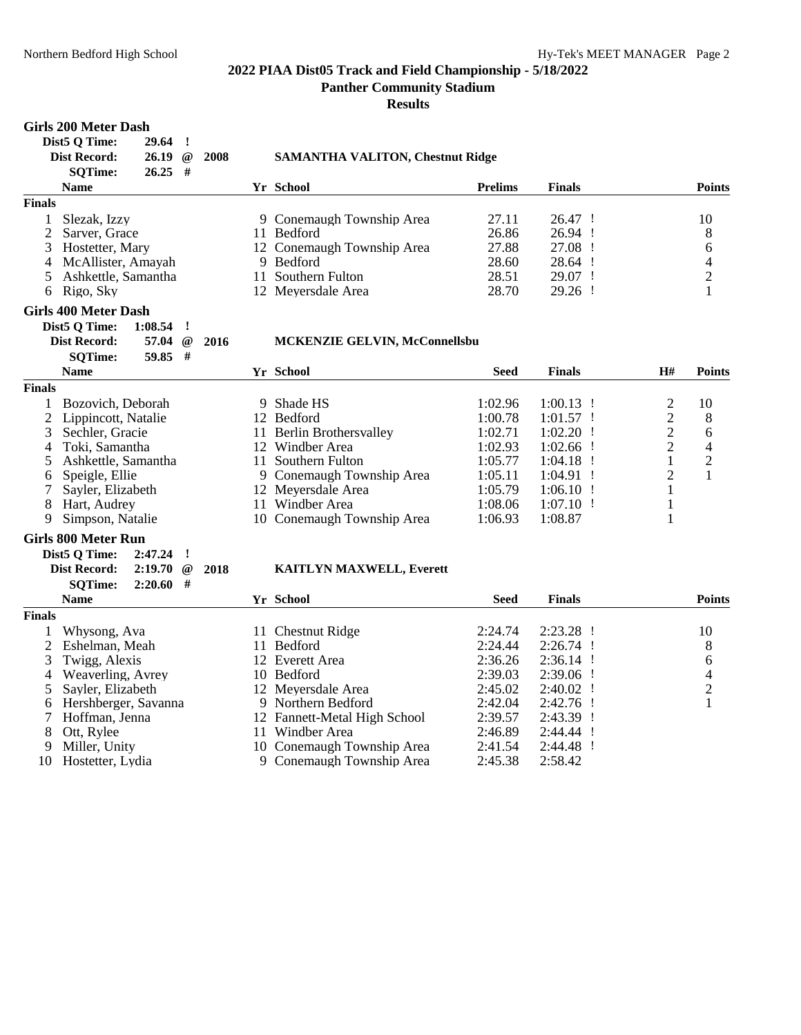**Panther Community Stadium**

**Results**

#### **Girls 200 Meter Dash Dist5 Q Time: 29.64 ! Dist Record: 26.19 @ 2008 SAMANTHA VALITON, Chestnut Ridge SQTime: 26.25 # Name Yr School Prelims Finals Points Finals** 1 Slezak, Izzy 9 Conemaugh Township Area 27.11 26.47 ! 10 2 Sarver, Grace 11 Bedford 26.86 26.94 ! 8<br>3 Hostetter, Mary 12 Conemaugh Township Area 27.88 27.08 ! 6 3 Hostetter, Mary 12 Conemaugh Township Area 27.88 27.08 ! 6 4 McAllister, Amayah 9 Bedford 28.60 28.64 ! 4 5 Ashkettle, Samantha 11 Southern Fulton 28.51 29.07 ! 2 6 Rigo, Sky 12 Meyersdale Area 28.70 29.26 ! 1 **Girls 400 Meter Dash Dist5 Q Time: 1:08.54 ! Dist Record: 57.04 @ 2016 MCKENZIE GELVIN, McConnellsbu SQTime: 59.85 # Name Yr School Seed Finals H# Points Finals** 1 Bozovich, Deborah 19 Shade HS 1:02.96 1:00.13 ! 2 10<br>2 Lippincott, Natalie 12 Bedford 1:00.78 1:01.57 ! 2 8 2 Lippincott, Natalie 12 Bedford 1:00.78 1:01.57 ! 2 8<br>3 Sechler, Gracie 11 Berlin Brothersvallev 1:02.71 1:02.20 ! 2 6 3 Sechler, Gracie 11 Berlin Brothersvalley 1:02.71 1:02.20 ! 2 6<br>4 Toki, Samantha 12 Windber Area 1:02.93 1:02.66 ! 2 4 4 Toki, Samantha 12 Windber Area 1:02.93 1:02.66 ! 2 4<br>5 Ashkettle, Samantha 11 Southern Fulton 1:05.77 1:04.18 ! 2 5 Ashkettle, Samantha 11 Southern Fulton 1:05.77 1:04.18 ! 1<br>6 Speigle, Ellie 9 Conemaugh Township Area 1:05.11 1:04.91 ! 2 6 Speigle, Ellie 9 Conemaugh Township Area 1:05.11 1:04.91 ! 2 1 7 Sayler, Elizabeth 12 Meyersdale Area 1:05.79 1:06.10 ! 1 8 Hart, Audrey 11 Windber Area 9 Simpson, Natalie 10 Conemaugh Township Area 1:06.93 1:08.87 1 **Girls 800 Meter Run Dist5 Q Time: 2:47.24 ! Dist Record: 2:19.70 @ 2018 KAITLYN MAXWELL, Everett SQTime: 2:20.60 # Name Yr School Seed Finals Points Finals** 1 Whysong, Ava 11 Chestnut Ridge 2:24.74 2:23.28 ! 10<br>2 Eshelman, Meah 11 Bedford 2:24.44 2:26.74 ! 8 2 Eshelman, Meah 11 Bedford 2:24.44 2:26.74 ! 8<br>3 Twigg, Alexis 12 Everett Area 2:36.26 2:36.14 ! 6 3 Twigg, Alexis 4 Weaverling, Avrey 10 Bedford 2:39.03 2:39.06 ! 4<br>
5 Sayler, Elizabeth 12 Meyersdale Area 2:45.02 2:40.02 ! 2 5 Sayler, Elizabeth 12 Meyersdale Area 2:45.02 2:40.02 ! 2 6 Hershberger, Savanna 9 Northern Bedford 2:42.04 2:42.76 ! 1 7 Hoffman, Jenna 12 Fannett-Metal High School 2:39.57 2:43.39 ! 8 Ott, Rylee 11 Windber Area 2:46.89 2:44.44 !<br>10 Conemaugh Township Area 2:41.54 2:44.48 ! 10 Conemaugh Township Area 10 Hostetter, Lydia 9 Conemaugh Township Area 2:45.38 2:58.42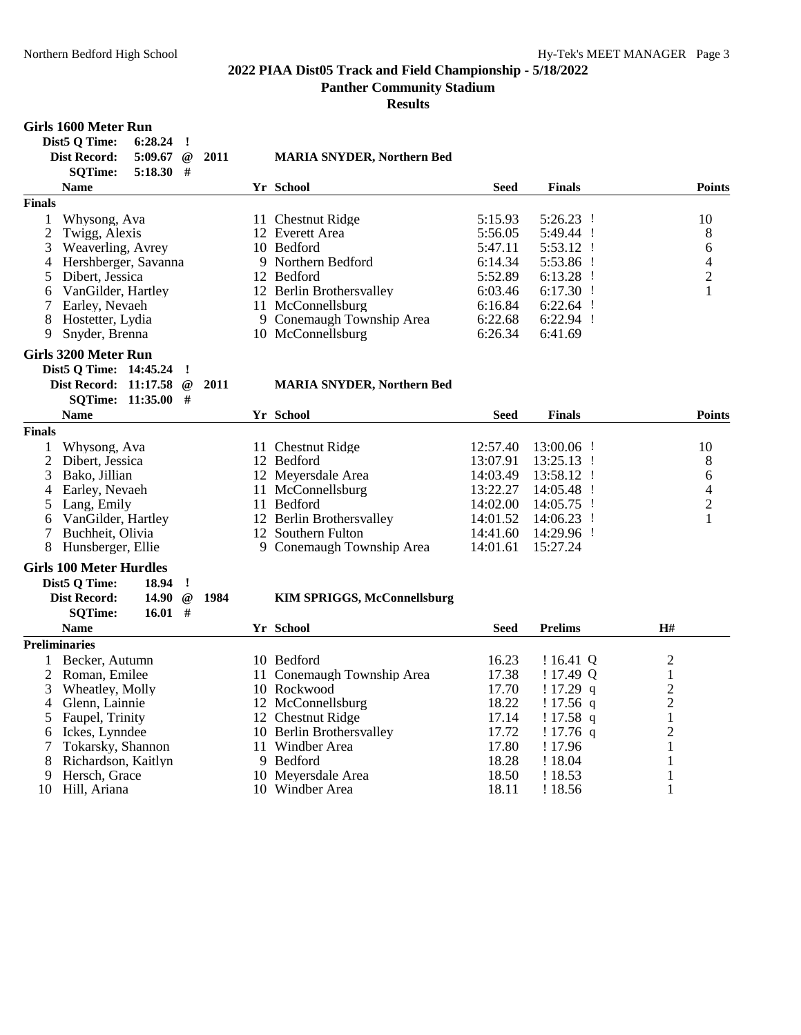# **Results**

#### **Girls 1600 Meter Run Dist5 Q Time: 6:28.24 !**

|                | PISLQLIME:<br><b>0.40.44</b>   |              |      |                                    |             |                |                          |
|----------------|--------------------------------|--------------|------|------------------------------------|-------------|----------------|--------------------------|
|                | <b>Dist Record:</b><br>5:09.67 | @            | 2011 | <b>MARIA SNYDER, Northern Bed</b>  |             |                |                          |
|                | <b>SQTime:</b><br>$5:18.30$ #  |              |      |                                    |             |                |                          |
|                | <b>Name</b>                    |              |      | Yr School                          | <b>Seed</b> | <b>Finals</b>  | <b>Points</b>            |
| <b>Finals</b>  |                                |              |      |                                    |             |                |                          |
| 1              | Whysong, Ava                   |              |      | 11 Chestnut Ridge                  | 5:15.93     | $5:26.23$ !    | 10                       |
| $\overline{c}$ | Twigg, Alexis                  |              |      | 12 Everett Area                    | 5:56.05     | 5:49.44 !      | 8                        |
| 3              | Weaverling, Avrey              |              |      | 10 Bedford                         | 5:47.11     | $5:53.12$ !    | 6                        |
| 4              | Hershberger, Savanna           |              |      | 9 Northern Bedford                 | 6:14.34     | 5:53.86 !      | $\overline{\mathcal{A}}$ |
| 5              | Dibert, Jessica                |              |      | 12 Bedford                         | 5:52.89     | $6:13.28$ !    | $\sqrt{2}$               |
| 6              | VanGilder, Hartley             |              |      | 12 Berlin Brothersvalley           | 6:03.46     | $6:17.30$ !    | $\mathbf{1}$             |
|                | 7 Earley, Nevaeh               |              |      | 11 McConnellsburg                  | 6:16.84     | $6:22.64$ !    |                          |
| 8              | Hostetter, Lydia               |              |      | 9 Conemaugh Township Area          | 6:22.68     | 6:22.94 !      |                          |
| 9              | Snyder, Brenna                 |              |      | 10 McConnellsburg                  | 6:26.34     | 6:41.69        |                          |
|                | <b>Girls 3200 Meter Run</b>    |              |      |                                    |             |                |                          |
|                | Dist5 Q Time: 14:45.24         | $\mathbf{I}$ |      |                                    |             |                |                          |
|                | Dist Record: 11:17.58          | @            | 2011 | <b>MARIA SNYDER, Northern Bed</b>  |             |                |                          |
|                | SQTime: 11:35.00 #             |              |      |                                    |             |                |                          |
|                | <b>Name</b>                    |              |      | Yr School                          | <b>Seed</b> | <b>Finals</b>  | <b>Points</b>            |
| <b>Finals</b>  |                                |              |      |                                    |             |                |                          |
| 1              | Whysong, Ava                   |              |      | 11 Chestnut Ridge                  | 12:57.40    | 13:00.06 !     | 10                       |
|                | 2 Dibert, Jessica              |              |      | 12 Bedford                         | 13:07.91    | 13:25.13 !     | 8                        |
| 3              | Bako, Jillian                  |              |      | 12 Meyersdale Area                 | 14:03.49    | 13:58.12 !     | 6                        |
| 4              | Earley, Nevaeh                 |              |      | 11 McConnellsburg                  | 13:22.27    | 14:05.48 !     | $\overline{\mathcal{A}}$ |
| 5              | Lang, Emily                    |              |      | 11 Bedford                         | 14:02.00    | 14:05.75 !     | $\overline{c}$           |
| 6              | VanGilder, Hartley             |              |      | 12 Berlin Brothersvalley           | 14:01.52    | 14:06.23 !     | 1                        |
| 7              | Buchheit, Olivia               |              |      | 12 Southern Fulton                 | 14:41.60    | 14:29.96 !     |                          |
| 8              | Hunsberger, Ellie              |              |      | 9 Conemaugh Township Area          | 14:01.61    | 15:27.24       |                          |
|                | <b>Girls 100 Meter Hurdles</b> |              |      |                                    |             |                |                          |
|                | Dist5 Q Time:<br>18.94         | -1           |      |                                    |             |                |                          |
|                | <b>Dist Record:</b><br>14.90   | $^{\,}$      | 1984 | <b>KIM SPRIGGS, McConnellsburg</b> |             |                |                          |
|                | <b>SQTime:</b>                 | 16.01#       |      |                                    |             |                |                          |
|                | <b>Name</b>                    |              |      | Yr School                          | Seed        | <b>Prelims</b> | <b>H#</b>                |
|                | <b>Preliminaries</b>           |              |      |                                    |             |                |                          |
| 1              | Becker, Autumn                 |              |      | 10 Bedford                         | 16.23       | ! 16.41 Q      | $\overline{2}$           |
| 2              | Roman, Emilee                  |              |      | 11 Conemaugh Township Area         | 17.38       | !17.49 Q       | $\mathbf{1}$             |
| 3              | Wheatley, Molly                |              |      | 10 Rockwood                        | 17.70       | !17.29 q       | $\overline{2}$           |
| 4              | Glenn, Lainnie                 |              |      | 12 McConnellsburg                  | 18.22       | $!17.56$ q     | $\overline{c}$           |
| 5              | Faupel, Trinity                |              |      | 12 Chestnut Ridge                  | 17.14       | $!17.58$ q     | $\mathbf{1}$             |
| 6              | Ickes, Lynndee                 |              |      | 10 Berlin Brothersvalley           | 17.72       | $!17.76$ q     | $\overline{2}$           |
| 7              | Tokarsky, Shannon              |              |      | 11 Windber Area                    | 17.80       | ! 17.96        | $\mathbf{1}$             |
| 8              | Richardson, Kaitlyn            |              |      | 9 Bedford                          | 18.28       | ! 18.04        | $\mathbf{1}$             |
| 9              | Hersch, Grace                  |              |      | 10 Meyersdale Area                 | 18.50       | ! 18.53        | 1                        |
|                | 10 Hill, Ariana                |              |      | 10 Windber Area                    | 18.11       | ! 18.56        | $\mathbf{1}$             |
|                |                                |              |      |                                    |             |                |                          |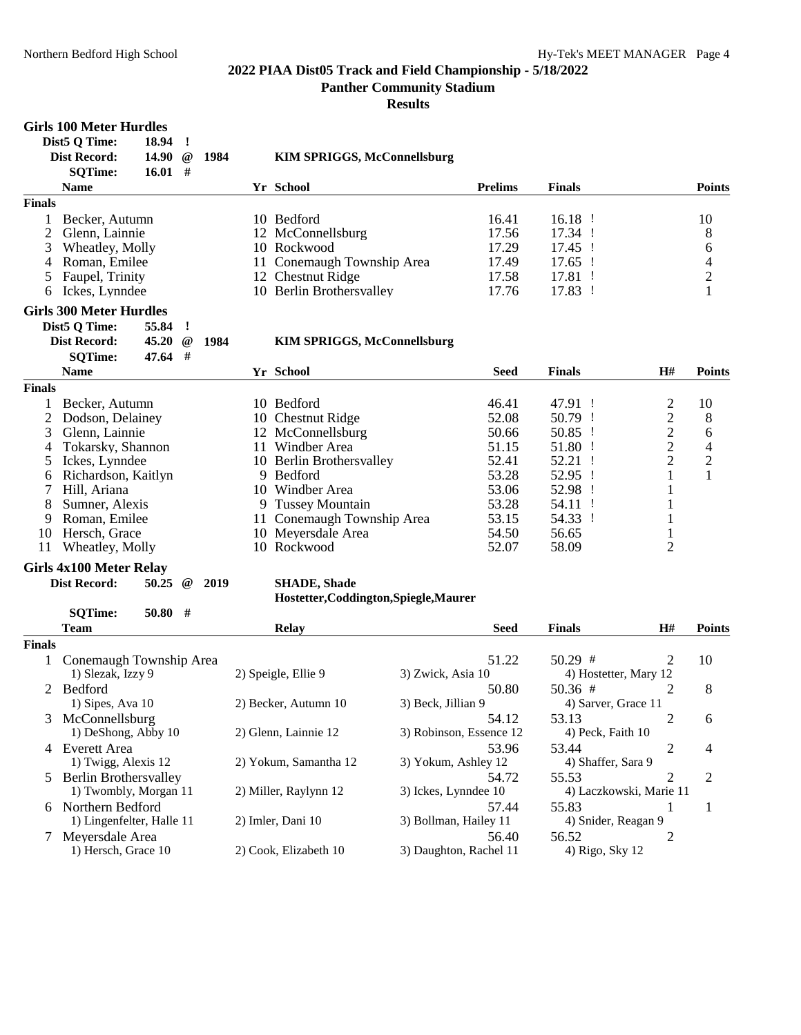**Panther Community Stadium**

**Results**

# Girls 100 Meter Hurdles

**Dist5 Q Time: 18.94 !**

|               | $D_{\text{B}}$ $\vee$ $\vee$ $\vee$ $\vee$ $\vee$<br><b>Dist Record:</b> | 10,74<br>14.90 | $^{\,}$  | 1984 |    | <b>KIM SPRIGGS, McConnellsburg</b>     |                |               |                |                          |
|---------------|--------------------------------------------------------------------------|----------------|----------|------|----|----------------------------------------|----------------|---------------|----------------|--------------------------|
|               | <b>SQTime:</b>                                                           | $16.01$ #      |          |      |    |                                        |                |               |                |                          |
|               | <b>Name</b>                                                              |                |          |      |    | Yr School                              | <b>Prelims</b> | <b>Finals</b> |                | <b>Points</b>            |
| <b>Finals</b> |                                                                          |                |          |      |    |                                        |                |               |                |                          |
|               | Becker, Autumn                                                           |                |          |      |    | 10 Bedford                             | 16.41          | $16.18$ !     |                | 10                       |
| 2             | Glenn, Lainnie                                                           |                |          |      |    | 12 McConnellsburg                      | 17.56          | 17.34 !       |                | 8                        |
| 3             | Wheatley, Molly                                                          |                |          |      |    | 10 Rockwood                            | 17.29          | 17.45 !       |                | 6                        |
| 4             | Roman, Emilee                                                            |                |          |      |    | 11 Conemaugh Township Area             | 17.49          | 17.65 !       |                | $\overline{\mathcal{A}}$ |
| 5             | Faupel, Trinity                                                          |                |          |      |    | 12 Chestnut Ridge                      | 17.58          | 17.81 !       |                | $\overline{c}$           |
| 6             | Ickes, Lynndee                                                           |                |          |      |    | 10 Berlin Brothersvalley               | 17.76          | 17.83 !       |                | $\mathbf{1}$             |
|               | <b>Girls 300 Meter Hurdles</b>                                           |                |          |      |    |                                        |                |               |                |                          |
|               | Dist5 Q Time:                                                            | 55.84          | ľ        |      |    |                                        |                |               |                |                          |
|               | <b>Dist Record:</b>                                                      | 45.20          | $\omega$ | 1984 |    | <b>KIM SPRIGGS, McConnellsburg</b>     |                |               |                |                          |
|               | <b>SQTime:</b>                                                           | 47.64          | #        |      |    |                                        |                |               |                |                          |
|               | <b>Name</b>                                                              |                |          |      |    | Yr School                              | <b>Seed</b>    | <b>Finals</b> | H#             | <b>Points</b>            |
| <b>Finals</b> |                                                                          |                |          |      |    |                                        |                |               |                |                          |
|               | Becker, Autumn                                                           |                |          |      |    | 10 Bedford                             | 46.41          | 47.91 !       | $\overline{c}$ | 10                       |
| 2             | Dodson, Delainey                                                         |                |          |      |    | 10 Chestnut Ridge                      | 52.08          | 50.79 !       | $\overline{c}$ | 8                        |
| 3             | Glenn, Lainnie                                                           |                |          |      |    | 12 McConnellsburg                      | 50.66          | 50.85 !       | $\overline{c}$ | 6                        |
| 4             | Tokarsky, Shannon                                                        |                |          |      |    | 11 Windber Area                        | 51.15          | 51.80 !       | $\overline{c}$ | $\overline{4}$           |
| 5             | Ickes, Lynndee                                                           |                |          |      |    | 10 Berlin Brothersvalley               | 52.41          | 52.21 !       | $\overline{2}$ | $\frac{2}{1}$            |
| 6             | Richardson, Kaitlyn                                                      |                |          |      | 9  | Bedford                                | 53.28          | 52.95 !       | $\mathbf{1}$   |                          |
| 7             | Hill, Ariana                                                             |                |          |      | 10 | Windber Area                           | 53.06          | 52.98 !       | $\,1$          |                          |
| 8             | Sumner, Alexis                                                           |                |          |      | 9  | <b>Tussey Mountain</b>                 | 53.28          | 54.11 !       |                |                          |
| 9             | Roman, Emilee                                                            |                |          |      |    | 11 Conemaugh Township Area             | 53.15          | 54.33 !       | $\mathbf{1}$   |                          |
| 10            | Hersch, Grace                                                            |                |          |      |    | 10 Meyersdale Area                     | 54.50          | 56.65         | $\mathbf{1}$   |                          |
| 11            | Wheatley, Molly                                                          |                |          |      |    | 10 Rockwood                            | 52.07          | 58.09         | $\overline{2}$ |                          |
|               | <b>Girls 4x100 Meter Relay</b>                                           |                |          |      |    |                                        |                |               |                |                          |
|               | <b>Dist Record:</b>                                                      | 50.25          | $\omega$ | 2019 |    | <b>SHADE, Shade</b>                    |                |               |                |                          |
|               |                                                                          |                |          |      |    | Hostetter, Coddington, Spiegle, Maurer |                |               |                |                          |
|               | <b>SQTime:</b>                                                           | 50.80          | #        |      |    |                                        |                |               |                |                          |
|               | <b>Team</b>                                                              |                |          |      |    | <b>Relay</b>                           | <b>Seed</b>    | <b>Finals</b> | H#             | <b>Points</b>            |

#### **Finals** 1 Conemaugh Township Area 51.22 50.29  $\#$  2 10<br>1) Slezak, Izzy 9 2) Speigle, Ellie 9 3) Zwick, Asia 10 4) Hostetter, Mary 12 4) Hostetter, Mary 12 2 Bedford 50.80 50.36 # 2 8 1) Sipes, Ava 10 2) Becker, Autumn 10 3) Beck, Jillian 9 4) Sarver, Grace 11 3 McConnellsburg 54.12 53.13 2 6<br>1) DeShong, Abby 10 2) Glenn, Lainnie 12 3) Robinson, Essence 12 4) Peck, Faith 10 3) Robinson, Essence 12 4 Everett Area 53.96 53.44 2 4<br>1) Twigg, Alexis 12 2) Yokum, Samantha 12 3) Yokum, Ashley 12 4) Shaffer, Sara 9 2) Yokum, Samantha 12 5 Berlin Brothersvalley<br>
1) Twombly, Morgan 11 2) Miller, Raylynn 12 3) Ickes, Lynndee 10 4) Laczkowski, Marie 11 4) Laczkowski, Marie 11 6 Northern Bedford 57.44 55.83 1 1 1) Lingenfelter, Halle 11 7 Meyersdale Area 56.40 56.52 2<br>
1) Hersch, Grace 10 2) Cook, Elizabeth 10 3) Daughton, Rachel 11 4) Rigo, Sky 12 3) Daughton, Rachel 11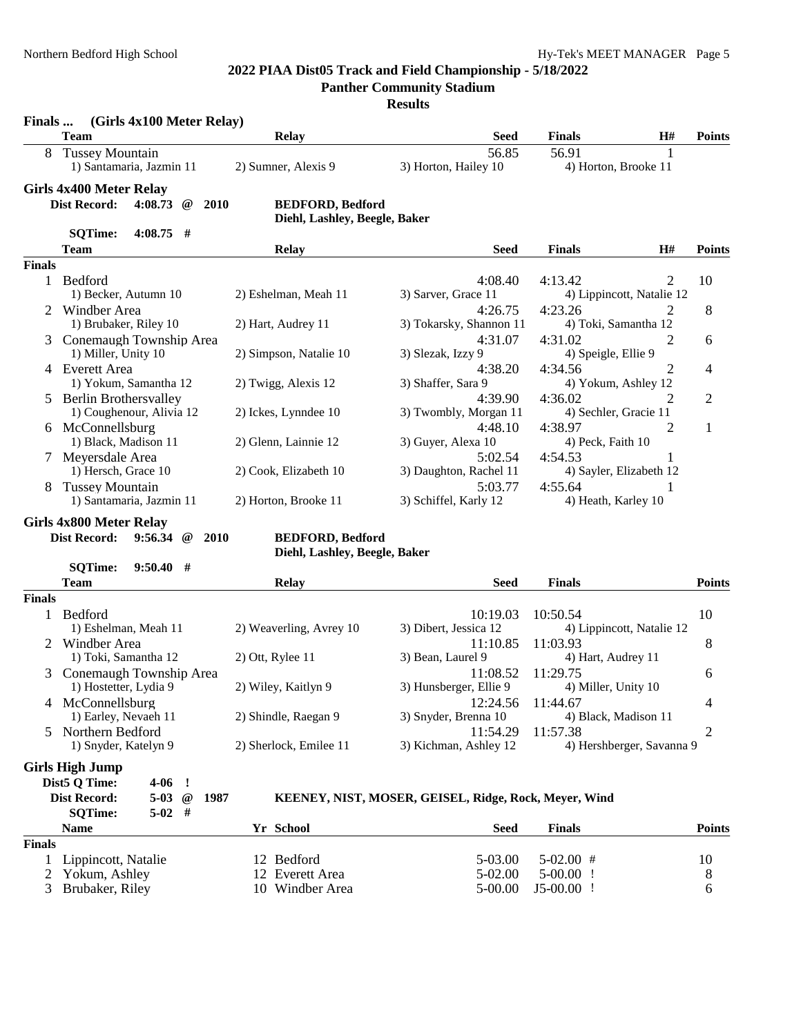**Panther Community Stadium**

| Finals        | (Girls 4x100 Meter Relay)                                      |                                                          |                                                       |                               |                           |               |
|---------------|----------------------------------------------------------------|----------------------------------------------------------|-------------------------------------------------------|-------------------------------|---------------------------|---------------|
|               | <b>Team</b>                                                    | <b>Relay</b>                                             | <b>Seed</b>                                           | <b>Finals</b>                 | H#                        | <b>Points</b> |
|               | <b>Tussey Mountain</b><br>1) Santamaria, Jazmin 11             | 2) Sumner, Alexis 9                                      | 56.85<br>3) Horton, Hailey 10                         | 56.91<br>4) Horton, Brooke 11 | 1                         |               |
|               | Girls 4x400 Meter Relay                                        |                                                          |                                                       |                               |                           |               |
|               | <b>Dist Record:</b><br>4:08.73<br>2010<br>@                    | <b>BEDFORD, Bedford</b><br>Diehl, Lashley, Beegle, Baker |                                                       |                               |                           |               |
|               | $4:08.75$ #<br><b>SQTime:</b>                                  |                                                          |                                                       |                               |                           |               |
|               | Team                                                           | <b>Relay</b>                                             | <b>Seed</b>                                           | <b>Finals</b>                 | H#                        | <b>Points</b> |
| <b>Finals</b> |                                                                |                                                          |                                                       |                               |                           |               |
| 1             | Bedford                                                        |                                                          | 4:08.40                                               | 4:13.42                       | 2                         | 10            |
|               | 1) Becker, Autumn 10                                           | 2) Eshelman, Meah 11                                     | 3) Sarver, Grace 11                                   |                               | 4) Lippincott, Natalie 12 |               |
|               | 2 Windber Area                                                 |                                                          | 4:26.75                                               | 4:23.26                       |                           | 8             |
|               | 1) Brubaker, Riley 10                                          | 2) Hart, Audrey 11                                       | 3) Tokarsky, Shannon 11                               | 4) Toki, Samantha 12          |                           |               |
|               | Conemaugh Township Area                                        |                                                          | 4:31.07                                               | 4:31.02                       | 2                         | 6             |
|               | 1) Miller, Unity 10                                            | 2) Simpson, Natalie 10                                   | 3) Slezak, Izzy 9                                     | 4) Speigle, Ellie 9           |                           |               |
|               | 4 Everett Area                                                 |                                                          | 4:38.20                                               | 4:34.56                       | 2                         | 4             |
|               | 1) Yokum, Samantha 12                                          | 2) Twigg, Alexis 12                                      | 3) Shaffer, Sara 9                                    | 4) Yokum, Ashley 12           |                           |               |
|               | 5 Berlin Brothersvalley                                        |                                                          | 4:39.90                                               | 4:36.02                       | 2                         | 2             |
|               | 1) Coughenour, Alivia 12                                       | 2) Ickes, Lynndee 10                                     | 3) Twombly, Morgan 11                                 | 4) Sechler, Gracie 11         |                           |               |
|               | 6 McConnellsburg                                               |                                                          | 4:48.10                                               | 4:38.97                       | 2                         | $\mathbf{1}$  |
|               | 1) Black, Madison 11                                           | 2) Glenn, Lainnie 12                                     | 3) Guyer, Alexa 10                                    | 4) Peck, Faith 10             |                           |               |
|               | 7 Meyersdale Area                                              |                                                          | 5:02.54                                               | 4:54.53                       | 1                         |               |
|               | 1) Hersch, Grace 10                                            | 2) Cook, Elizabeth 10                                    | 3) Daughton, Rachel 11                                | 4) Sayler, Elizabeth 12       |                           |               |
|               | <b>Tussey Mountain</b>                                         |                                                          | 5:03.77                                               | 4:55.64                       | 1                         |               |
|               | 1) Santamaria, Jazmin 11                                       | 2) Horton, Brooke 11                                     | 3) Schiffel, Karly 12                                 | 4) Heath, Karley 10           |                           |               |
|               | Girls 4x800 Meter Relay                                        |                                                          |                                                       |                               |                           |               |
|               | <b>Dist Record:</b><br>$9:56.34 \quad \textcircled{a}$<br>2010 | <b>BEDFORD, Bedford</b>                                  |                                                       |                               |                           |               |
|               |                                                                | Diehl, Lashley, Beegle, Baker                            |                                                       |                               |                           |               |
|               | <b>SQTime:</b><br>9:50.40<br>- #                               |                                                          |                                                       |                               |                           |               |
|               | <b>Team</b>                                                    | <b>Relay</b>                                             | <b>Seed</b>                                           | <b>Finals</b>                 |                           | <b>Points</b> |
| <b>Finals</b> |                                                                |                                                          |                                                       |                               |                           |               |
| $\mathbf{1}$  | Bedford                                                        |                                                          | 10:19.03                                              | 10:50.54                      |                           | 10            |
|               | 1) Eshelman, Meah 11                                           | 2) Weaverling, Avrey 10                                  | 3) Dibert, Jessica 12                                 |                               | 4) Lippincott, Natalie 12 |               |
|               | 2 Windber Area                                                 |                                                          | 11:10.85                                              | 11:03.93                      |                           | 8             |
|               | 1) Toki, Samantha 12                                           | 2) Ott, Rylee 11                                         | 3) Bean, Laurel 9                                     | 4) Hart, Audrey 11            |                           |               |
|               | 3 Conemaugh Township Area                                      |                                                          | 11:08.52                                              | 11:29.75                      |                           | 6             |
|               | 1) Hostetter, Lydia 9                                          | 2) Wiley, Kaitlyn 9                                      | 3) Hunsberger, Ellie 9                                | 4) Miller, Unity 10           |                           |               |
|               | 4 McConnellsburg                                               |                                                          | 12:24.56                                              | 11:44.67                      |                           | 4             |
|               | 1) Earley, Nevaeh 11                                           | 2) Shindle, Raegan 9                                     | 3) Snyder, Brenna 10                                  | 4) Black, Madison 11          |                           |               |
| 5.            | Northern Bedford                                               |                                                          | 11:54.29                                              | 11:57.38                      |                           | 2             |
|               | 1) Snyder, Katelyn 9                                           | 2) Sherlock, Emilee 11                                   | 3) Kichman, Ashley 12                                 |                               | 4) Hershberger, Savanna 9 |               |
|               | <b>Girls High Jump</b>                                         |                                                          |                                                       |                               |                           |               |
|               | Dist5 Q Time:<br>$4-06$ !                                      |                                                          |                                                       |                               |                           |               |
|               | <b>Dist Record:</b><br>5-03 $@$<br>1987                        |                                                          | KEENEY, NIST, MOSER, GEISEL, Ridge, Rock, Meyer, Wind |                               |                           |               |
|               | $5-02$ #<br><b>SQTime:</b>                                     |                                                          |                                                       |                               |                           |               |
|               | <b>Name</b>                                                    | Yr School                                                | <b>Seed</b>                                           | <b>Finals</b>                 |                           | <b>Points</b> |
| <b>Finals</b> |                                                                |                                                          |                                                       |                               |                           |               |
| 1             | Lippincott, Natalie                                            | 12 Bedford                                               | 5-03.00                                               | $5-02.00$ #                   |                           | 10            |
| 2             | Yokum, Ashley                                                  | 12 Everett Area                                          | 5-02.00                                               | 5-00.00<br>-1                 |                           | 8             |
| 3             | Brubaker, Riley                                                | 10 Windber Area                                          | 5-00.00                                               | $J5-00.00$ !                  |                           | 6             |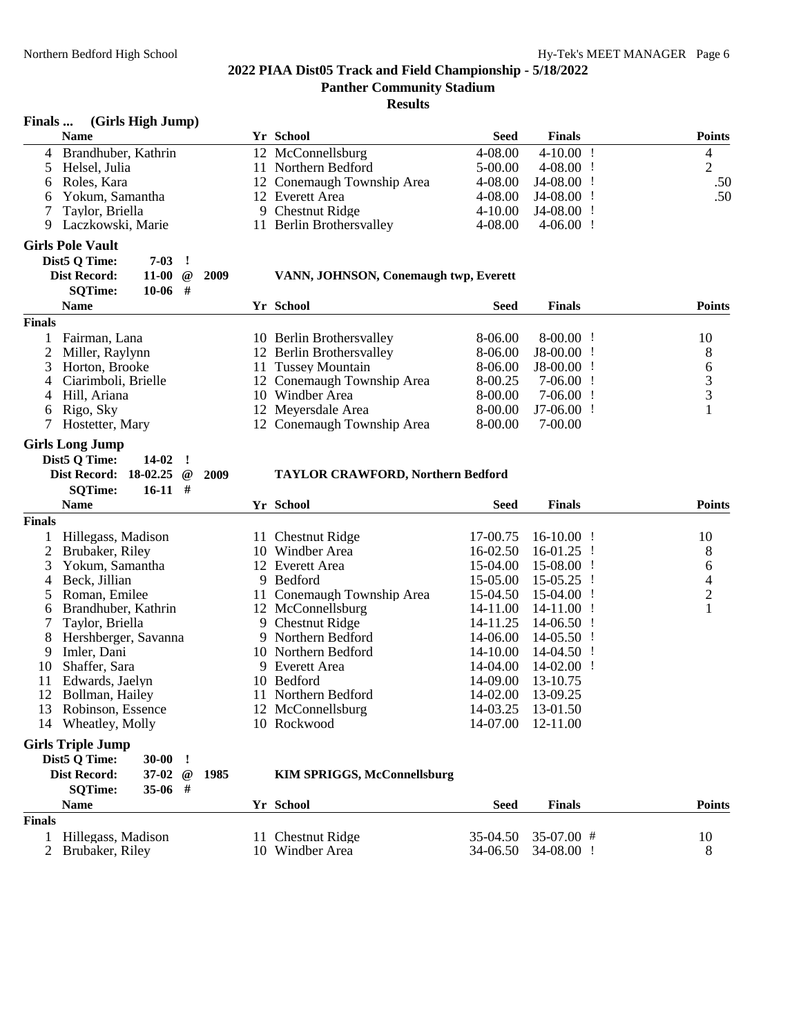#### **Results**

#### **Finals ... (Girls High Jump)**

| <b>Name</b>           | Yr School                  | Seed        | <b>Finals</b> | <b>Points</b> |
|-----------------------|----------------------------|-------------|---------------|---------------|
| 4 Brandhuber, Kathrin | 12 McConnellsburg          | 4-08.00     | $4 - 10.00$   |               |
| 5 Helsel, Julia       | 11 Northern Bedford        | $5-00.00$   | 4-08.00       | ∠             |
| 6 Roles, Kara         | 12 Conemaugh Township Area | 4-08.00     | J4-08.00      | .50           |
| 6 Yokum, Samantha     | 12 Everett Area            | 4-08.00     | J4-08.00      | .50           |
| Taylor, Briella       | 9 Chestnut Ridge           | $4 - 10.00$ | J4-08.00      |               |
| 9 Laczkowski, Marie   | 11 Berlin Brothersvalley   | 4-08.00     | 4-06.00       |               |

#### **Girls Pole Vault**

| Dist5 O Time:  | $7-03$ !       |  |  |
|----------------|----------------|--|--|
| Dist Record:   | 11-00 $@$ 2009 |  |  |
| <b>SOTime:</b> | $10-06$ #      |  |  |
| <b>Name</b>    |                |  |  |
| <b>Finals</b>  |                |  |  |

#### **VANN, JOHNSON, Conemaugh twp, Everett**

|     | <b>Name</b>           | Yr School                  | <b>Seed</b> | <b>Finals</b> | <b>Points</b> |
|-----|-----------------------|----------------------------|-------------|---------------|---------------|
| ıls |                       |                            |             |               |               |
|     | 1 Fairman, Lana       | 10 Berlin Brothersvalley   | 8-06.00     | 8-00.00       | 10            |
|     | 2 Miller, Raylynn     | 12 Berlin Brothersvalley   | 8-06.00     | $J8-00.00$ !  | 8             |
|     | 3 Horton, Brooke      | 11 Tussey Mountain         | 8-06.00     | $J8-00.00$ !  | 6             |
|     | 4 Ciarimboli, Brielle | 12 Conemaugh Township Area | 8-00.25     | 7-06.00 !     |               |
|     | 4 Hill, Ariana        | 10 Windber Area            | 8-00.00     | $7-06.00$ !   |               |
|     | 6 Rigo, Sky           | 12 Meyersdale Area         | 8-00.00     | $J7-06.00$ !  |               |
|     | 7 Hostetter, Mary     | 12 Conemaugh Township Area | 8-00.00     | 7-00.00       |               |
|     |                       |                            |             |               |               |

#### **Girls Long Jump**

| Dist5 Q Time:                  | $14-02$ ! |  |
|--------------------------------|-----------|--|
| Dist Record: $18-02.25$ @ 2009 |           |  |
| <b>SOTime:</b>                 | $16-11$ # |  |

#### **Dist Record: 18-02.25 @ 2009 TAYLOR CRAWFORD, Northern Bedford**

|               | <b>Name</b>                                            | Yr School                  | <b>Seed</b> | <b>Finals</b> | <b>Points</b> |
|---------------|--------------------------------------------------------|----------------------------|-------------|---------------|---------------|
| <b>Finals</b> |                                                        |                            |             |               |               |
|               | Hillegass, Madison                                     | 11 Chestnut Ridge          | 17-00.75    | $16-10.00$ !  | 10            |
| 2             | Brubaker, Riley                                        | 10 Windber Area            | 16-02.50    | 16-01.25      | 8             |
| 3             | Yokum, Samantha                                        | 12 Everett Area            | 15-04.00    | 15-08.00      | 6             |
| 4             | Beck, Jillian                                          | 9 Bedford                  | 15-05.00    | $15-05.25$    | 4             |
| 5.            | Roman, Emilee                                          | 11 Conemaugh Township Area | 15-04.50    | 15-04.00      | 2             |
| 6             | Brandhuber, Kathrin                                    | 12 McConnellsburg          | 14-11.00    | 14-11.00      |               |
|               | Taylor, Briella                                        | 9 Chestnut Ridge           | 14-11.25    | 14-06.50      |               |
| 8             | Hershberger, Savanna                                   | 9 Northern Bedford         | 14-06.00    | 14-05.50      |               |
| 9             | Imler, Dani                                            | 10 Northern Bedford        | 14-10.00    | 14-04.50      |               |
| 10            | Shaffer, Sara                                          | 9 Everett Area             | 14-04.00    | $14 - 02.00$  |               |
| 11            | Edwards, Jaelyn                                        | 10 Bedford                 | 14-09.00    | 13-10.75      |               |
| 12            | Bollman, Hailey                                        | 11 Northern Bedford        | 14-02.00    | 13-09.25      |               |
| 13            | Robinson, Essence                                      | 12 McConnellsburg          | 14-03.25    | 13-01.50      |               |
| 14            | Wheatley, Molly                                        | 10 Rockwood                | 14-07.00    | 12-11.00      |               |
|               | <b>Girls Triple Jump</b><br>Dist5 Q Time:<br>$30 - 00$ |                            |             |               |               |

| 37-02 $\omega$<br><b>Dist Record:</b><br>- 1985 |                    |           | <b>KIM SPRIGGS, McConnellsburg</b> |                   |          |                         |        |
|-------------------------------------------------|--------------------|-----------|------------------------------------|-------------------|----------|-------------------------|--------|
|                                                 | <b>SOTime:</b>     | $35-06$ # |                                    |                   |          |                         |        |
|                                                 | <b>Name</b>        |           |                                    | Yr School         | Seed     | <b>Finals</b>           | Points |
| <b>Finals</b>                                   |                    |           |                                    |                   |          |                         |        |
|                                                 | Hillegass, Madison |           |                                    | 11 Chestnut Ridge |          | $35-04.50$ $35-07.00$ # | 10     |
|                                                 | 2 Brubaker, Riley  |           |                                    | 10 Windber Area   | 34-06.50 | 34-08.00                |        |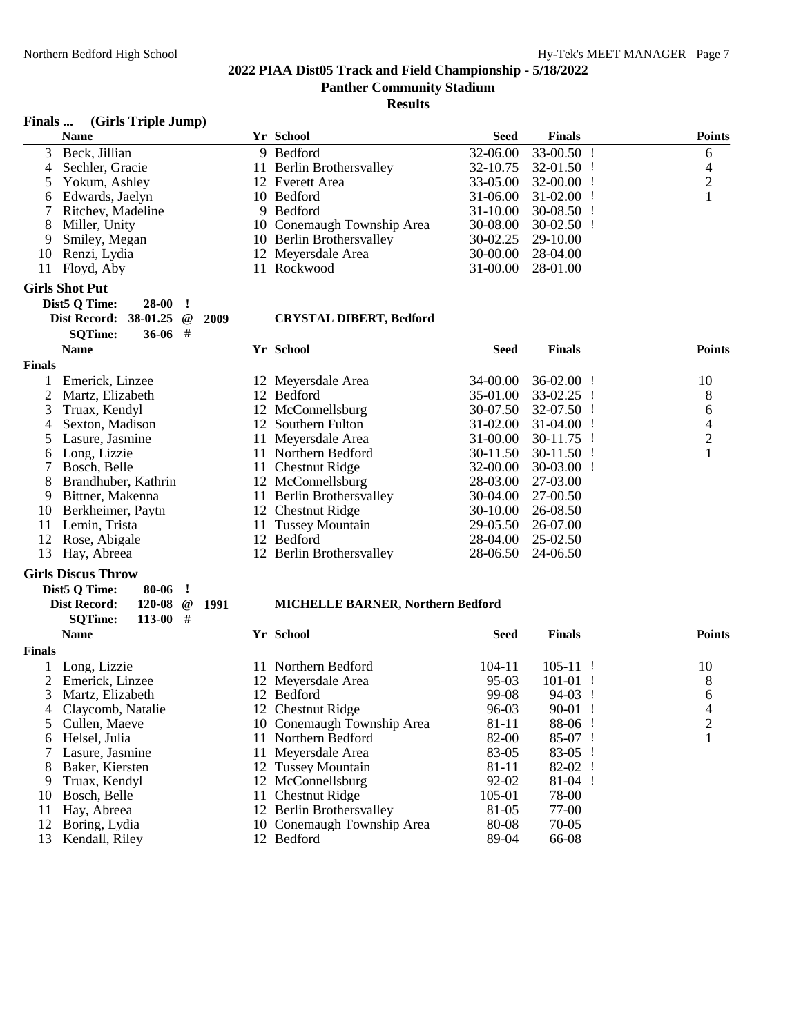**Results**

### **Finals ... (Girls Triple Jump)**

**Dist5 Q Time: 28-00 !**

|    | <b>Name</b>           | Yr School                  | <b>Seed</b> | <b>Finals</b>           | <b>Points</b> |
|----|-----------------------|----------------------------|-------------|-------------------------|---------------|
|    | 3 Beck, Jillian       | 9 Bedford                  |             | 32-06.00 33-00.50 !     | 6             |
|    | 4 Sechler, Gracie     | 11 Berlin Brothersvalley   |             | 32-10.75 32-01.50 !     | 4             |
|    | 5 Yokum, Ashley       | 12 Everett Area            |             | $33-05.00$ $32-00.00$ ! |               |
|    | 6 Edwards, Jaelyn     | 10 Bedford                 |             | $31-06.00$ $31-02.00$ ! |               |
|    | 7 Ritchey, Madeline   | 9 Bedford                  |             | $31-10.00$ $30-08.50$ ! |               |
|    | 8 Miller, Unity       | 10 Conemaugh Township Area |             | $30-08.00$ $30-02.50$ ! |               |
|    | 9 Smiley, Megan       | 10 Berlin Brothersvalley   |             | 30-02.25 29-10.00       |               |
|    | 10 Renzi, Lydia       | 12 Meyersdale Area         |             | 30-00.00 28-04.00       |               |
| 11 | Floyd, Aby            | 11 Rockwood                |             | 31-00.00 28-01.00       |               |
|    | <b>Girls Shot Put</b> |                            |             |                         |               |

# **Dist Record: 38-01.25 @ 2009 CRYSTAL DIBERT, Bedford**

|               | <b>SOTime:</b><br>36-06<br># |                                     |                              |                |
|---------------|------------------------------|-------------------------------------|------------------------------|----------------|
|               | <b>Name</b>                  | Yr School                           | <b>Finals</b><br><b>Seed</b> | <b>Points</b>  |
| <b>Finals</b> |                              |                                     |                              |                |
|               | Emerick, Linzee              | 12 Meyersdale Area                  | $36-02.00$<br>34-00.00       | 10             |
|               | Martz, Elizabeth             | <b>Bedford</b><br>12                | 35-01.00<br>33-02.25         | 8              |
| 3             | Truax, Kendyl                | 12 McConnellsburg                   | 30-07.50<br>$32-07.50$ !     | 6              |
| 4             | Sexton, Madison              | 12 Southern Fulton                  | 31-02.00<br>31-04.00         | 4              |
|               | Lasure, Jasmine              | Meyersdale Area<br>11.              | $31 - 00.00$<br>$30-11.75$ ! | $\overline{2}$ |
| 6             | Long, Lizzie                 | Northern Bedford<br>11.             | $30-11.50$ !<br>30-11.50     |                |
|               | Bosch, Belle                 | 11 Chestnut Ridge                   | 32-00.00<br>30-03.00         |                |
| 8             | Brandhuber, Kathrin          | 12 McConnellsburg                   | 28-03.00<br>27-03.00         |                |
| 9             | Bittner, Makenna             | <b>Berlin Brothersvalley</b><br>11. | $30-04.00$<br>27-00.50       |                |
| 10            | Berkheimer, Paytn            | 12 Chestnut Ridge                   | 30-10.00<br>26-08.50         |                |
| 11            | Lemin, Trista                | <b>Tussey Mountain</b><br>11        | 29-05.50<br>26-07.00         |                |
| 12            | Rose, Abigale                | <b>Bedford</b><br>12.               | 28-04.00<br>$25-02.50$       |                |
| 13            | Hay, Abreea                  | 12 Berlin Brothersvalley            | 24-06.50<br>28-06.50         |                |

#### **Girls Discus Throw**

| Dist5 O Time:  | $80-06$ !            |  |
|----------------|----------------------|--|
| Dist Record:   | 120-08 $\omega$ 1991 |  |
| <b>SOTime:</b> | $113-00$ #           |  |

#### **Dist Record: 120-08 @ 1991 MICHELLE BARNER, Northern Bedford**

|               | <b>Name</b>         |     | Yr School                  | <b>Seed</b> | <b>Finals</b> | <b>Points</b> |
|---------------|---------------------|-----|----------------------------|-------------|---------------|---------------|
| <b>Finals</b> |                     |     |                            |             |               |               |
|               | Long, Lizzie        |     | 11 Northern Bedford        | 104-11      | $105 - 11$ !  | 10            |
|               | Emerick, Linzee     |     | 12 Meyersdale Area         | $95-03$     | $101-01$ !    | 8             |
| 3             | Martz, Elizabeth    |     | 12 Bedford                 | 99-08       | 94-03         | 6             |
|               | 4 Claycomb, Natalie |     | 12 Chestnut Ridge          | 96-03       | $90-01$ !     | 4             |
|               | 5 Cullen, Maeve     |     | 10 Conemaugh Township Area | 81-11       | $88-06$ !     | ↑             |
| 6             | Helsel. Julia       | 11. | Northern Bedford           | 82-00       | $85-07$ !     |               |
|               | Lasure, Jasmine     |     | 11 Meyersdale Area         | 83-05       | 83-05         |               |
| 8             | Baker, Kiersten     |     | 12 Tussey Mountain         | 81-11       | $82-02$ !     |               |
| 9             | Truax, Kendyl       |     | 12 McConnellsburg          | $92 - 02$   | $81-04$ !     |               |
| 10            | Bosch, Belle        |     | 11 Chestnut Ridge          | 105-01      | 78-00         |               |
| 11            | Hay, Abreea         |     | 12 Berlin Brothersvalley   | 81-05       | 77-00         |               |
| 12            | Boring, Lydia       |     | 10 Conemaugh Township Area | 80-08       | 70-05         |               |
| 13            | Kendall, Riley      |     | 12 Bedford                 | 89-04       | 66-08         |               |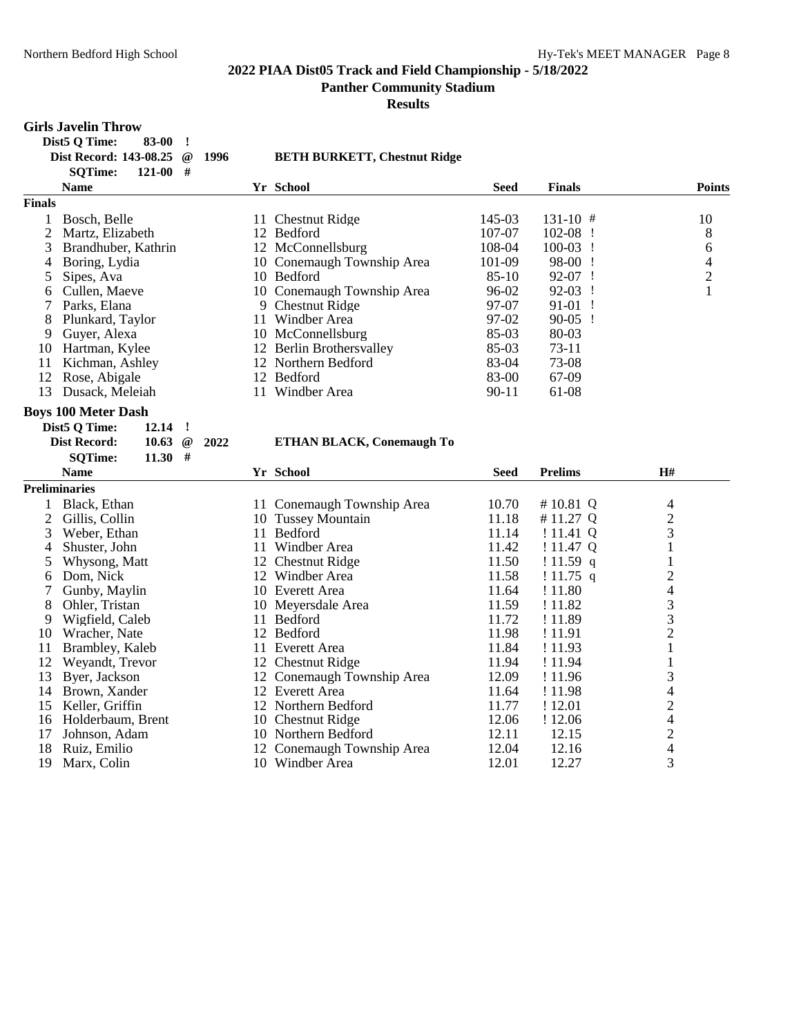**Panther Community Stadium**

| $121 - 00$ #<br><b>SQTime:</b><br>Yr School<br><b>Name</b><br><b>Seed</b><br><b>Finals</b><br><b>Points</b><br><b>Finals</b><br>145-03<br>10<br>$\mathbf{1}$<br>Bosch, Belle<br>11 Chestnut Ridge<br>$131-10$ #<br>$\overline{2}$<br>107-07<br>8<br>Martz, Elizabeth<br>12 Bedford<br>$102-08$ !<br>3<br>12 McConnellsburg<br>108-04<br>Brandhuber, Kathrin<br>100-03<br>6<br><u>!</u><br>10 Conemaugh Township Area<br>101-09<br>98-00 !<br>$\overline{4}$<br>4<br>Boring, Lydia<br>$\sqrt{2}$<br>$85-10$<br>Sipes, Ava<br>10 Bedford<br>92-07 !<br>5<br>$\mathbf{1}$<br>Cullen, Maeve<br>10 Conemaugh Township Area<br>96-02<br>92-03<br>$\mathbf{I}$<br>6<br>9 Chestnut Ridge<br>7<br>Parks, Elana<br>97-07<br>91-01<br>$\mathbf{I}$<br>Plunkard, Taylor<br>11 Windber Area<br>97-02<br>$90-05$ !<br>8<br>85-03<br>9<br>Guyer, Alexa<br>10 McConnellsburg<br>80-03<br>$73-11$<br>Hartman, Kylee<br>12 Berlin Brothersvalley<br>85-03<br>10<br>83-04<br>11<br>Kichman, Ashley<br>12 Northern Bedford<br>73-08<br>Rose, Abigale<br>12 Bedford<br>83-00<br>67-09<br>12<br>13<br>Dusack, Meleiah<br>11 Windber Area<br>$90 - 11$<br>61-08<br><b>Boys 100 Meter Dash</b><br>Dist5 Q Time:<br>12.14<br>$\cdot$<br>2022<br><b>Dist Record:</b><br>10.63<br>$^{\,a}$<br><b>ETHAN BLACK, Conemaugh To</b><br>#<br><b>SQTime:</b><br>11.30<br><b>Prelims</b><br>H#<br><b>Name</b><br>Yr School<br><b>Seed</b><br><b>Preliminaries</b><br>10.70<br>Black, Ethan<br>11 Conemaugh Township Area<br>#10.81 Q<br>4<br>1<br>$\overline{2}$<br>$\overline{2}$<br>10 Tussey Mountain<br>11.18<br>#11.27 Q<br>Gillis, Collin<br>3<br>11 Bedford<br>11.14<br>3<br>Weber, Ethan<br>!11.41Q<br>11.42<br>Shuster, John<br>11 Windber Area<br>!11.47Q<br>1<br>4<br>Whysong, Matt<br>12 Chestnut Ridge<br>11.50<br>!11.59 q<br>$\mathbf{1}$<br>5<br>$\overline{c}$<br>Dom, Nick<br>11.58<br>$!11.75$ q<br>12 Windber Area<br>6<br>$\overline{4}$<br>Gunby, Maylin<br>11.64<br>7<br>10 Everett Area<br>! 11.80<br>3<br>8<br>Ohler, Tristan<br>10 Meyersdale Area<br>11.59<br>! 11.82<br>3<br>Wigfield, Caleb<br>11 Bedford<br>11.72<br>9<br>! 11.89<br>$\overline{2}$<br>Wracher, Nate<br>12 Bedford<br>11.98<br>! 11.91<br>10<br>$\mathbf{1}$<br>11<br>Brambley, Kaleb<br>11 Everett Area<br>11.84<br>! 11.93<br>12<br>Weyandt, Trevor<br>12 Chestnut Ridge<br>11.94<br>! 11.94<br>$\mathbf{1}$<br>3<br>13<br>Byer, Jackson<br>12 Conemaugh Township Area<br>12.09<br>! 11.96<br>14 Brown, Xander<br>4<br>12 Everett Area<br>11.64<br>! 11.98<br>$\overline{c}$<br>Keller, Griffin<br>12 Northern Bedford<br>11.77<br>! 12.01<br>15<br>$\overline{4}$<br>Holderbaum, Brent<br>10 Chestnut Ridge<br>12.06<br>! 12.06<br>16<br>$\frac{2}{4}$<br>12.11<br>12.15<br>17<br>Johnson, Adam<br>10 Northern Bedford<br>12.04<br>12.16<br>18<br>Ruiz, Emilio<br>12 Conemaugh Township Area |    | <b>Girls Javelin Throw</b><br>Dist5 Q Time:<br>83-00<br><u>!</u><br>Dist Record: 143-08.25<br>$^{\, \circledR}$ | 1996 | <b>BETH BURKETT, Chestnut Ridge</b> |       |       |   |
|------------------------------------------------------------------------------------------------------------------------------------------------------------------------------------------------------------------------------------------------------------------------------------------------------------------------------------------------------------------------------------------------------------------------------------------------------------------------------------------------------------------------------------------------------------------------------------------------------------------------------------------------------------------------------------------------------------------------------------------------------------------------------------------------------------------------------------------------------------------------------------------------------------------------------------------------------------------------------------------------------------------------------------------------------------------------------------------------------------------------------------------------------------------------------------------------------------------------------------------------------------------------------------------------------------------------------------------------------------------------------------------------------------------------------------------------------------------------------------------------------------------------------------------------------------------------------------------------------------------------------------------------------------------------------------------------------------------------------------------------------------------------------------------------------------------------------------------------------------------------------------------------------------------------------------------------------------------------------------------------------------------------------------------------------------------------------------------------------------------------------------------------------------------------------------------------------------------------------------------------------------------------------------------------------------------------------------------------------------------------------------------------------------------------------------------------------------------------------------------------------------------------------------------------------------------------------------------------------------------------------------------------------------------------------------------------------------------------------------------------------------------------------------------------------------------------------------------------------------|----|-----------------------------------------------------------------------------------------------------------------|------|-------------------------------------|-------|-------|---|
|                                                                                                                                                                                                                                                                                                                                                                                                                                                                                                                                                                                                                                                                                                                                                                                                                                                                                                                                                                                                                                                                                                                                                                                                                                                                                                                                                                                                                                                                                                                                                                                                                                                                                                                                                                                                                                                                                                                                                                                                                                                                                                                                                                                                                                                                                                                                                                                                                                                                                                                                                                                                                                                                                                                                                                                                                                                            |    |                                                                                                                 |      |                                     |       |       |   |
|                                                                                                                                                                                                                                                                                                                                                                                                                                                                                                                                                                                                                                                                                                                                                                                                                                                                                                                                                                                                                                                                                                                                                                                                                                                                                                                                                                                                                                                                                                                                                                                                                                                                                                                                                                                                                                                                                                                                                                                                                                                                                                                                                                                                                                                                                                                                                                                                                                                                                                                                                                                                                                                                                                                                                                                                                                                            |    |                                                                                                                 |      |                                     |       |       |   |
|                                                                                                                                                                                                                                                                                                                                                                                                                                                                                                                                                                                                                                                                                                                                                                                                                                                                                                                                                                                                                                                                                                                                                                                                                                                                                                                                                                                                                                                                                                                                                                                                                                                                                                                                                                                                                                                                                                                                                                                                                                                                                                                                                                                                                                                                                                                                                                                                                                                                                                                                                                                                                                                                                                                                                                                                                                                            |    |                                                                                                                 |      |                                     |       |       |   |
|                                                                                                                                                                                                                                                                                                                                                                                                                                                                                                                                                                                                                                                                                                                                                                                                                                                                                                                                                                                                                                                                                                                                                                                                                                                                                                                                                                                                                                                                                                                                                                                                                                                                                                                                                                                                                                                                                                                                                                                                                                                                                                                                                                                                                                                                                                                                                                                                                                                                                                                                                                                                                                                                                                                                                                                                                                                            |    |                                                                                                                 |      |                                     |       |       |   |
|                                                                                                                                                                                                                                                                                                                                                                                                                                                                                                                                                                                                                                                                                                                                                                                                                                                                                                                                                                                                                                                                                                                                                                                                                                                                                                                                                                                                                                                                                                                                                                                                                                                                                                                                                                                                                                                                                                                                                                                                                                                                                                                                                                                                                                                                                                                                                                                                                                                                                                                                                                                                                                                                                                                                                                                                                                                            |    |                                                                                                                 |      |                                     |       |       |   |
|                                                                                                                                                                                                                                                                                                                                                                                                                                                                                                                                                                                                                                                                                                                                                                                                                                                                                                                                                                                                                                                                                                                                                                                                                                                                                                                                                                                                                                                                                                                                                                                                                                                                                                                                                                                                                                                                                                                                                                                                                                                                                                                                                                                                                                                                                                                                                                                                                                                                                                                                                                                                                                                                                                                                                                                                                                                            |    |                                                                                                                 |      |                                     |       |       |   |
|                                                                                                                                                                                                                                                                                                                                                                                                                                                                                                                                                                                                                                                                                                                                                                                                                                                                                                                                                                                                                                                                                                                                                                                                                                                                                                                                                                                                                                                                                                                                                                                                                                                                                                                                                                                                                                                                                                                                                                                                                                                                                                                                                                                                                                                                                                                                                                                                                                                                                                                                                                                                                                                                                                                                                                                                                                                            |    |                                                                                                                 |      |                                     |       |       |   |
|                                                                                                                                                                                                                                                                                                                                                                                                                                                                                                                                                                                                                                                                                                                                                                                                                                                                                                                                                                                                                                                                                                                                                                                                                                                                                                                                                                                                                                                                                                                                                                                                                                                                                                                                                                                                                                                                                                                                                                                                                                                                                                                                                                                                                                                                                                                                                                                                                                                                                                                                                                                                                                                                                                                                                                                                                                                            |    |                                                                                                                 |      |                                     |       |       |   |
|                                                                                                                                                                                                                                                                                                                                                                                                                                                                                                                                                                                                                                                                                                                                                                                                                                                                                                                                                                                                                                                                                                                                                                                                                                                                                                                                                                                                                                                                                                                                                                                                                                                                                                                                                                                                                                                                                                                                                                                                                                                                                                                                                                                                                                                                                                                                                                                                                                                                                                                                                                                                                                                                                                                                                                                                                                                            |    |                                                                                                                 |      |                                     |       |       |   |
|                                                                                                                                                                                                                                                                                                                                                                                                                                                                                                                                                                                                                                                                                                                                                                                                                                                                                                                                                                                                                                                                                                                                                                                                                                                                                                                                                                                                                                                                                                                                                                                                                                                                                                                                                                                                                                                                                                                                                                                                                                                                                                                                                                                                                                                                                                                                                                                                                                                                                                                                                                                                                                                                                                                                                                                                                                                            |    |                                                                                                                 |      |                                     |       |       |   |
|                                                                                                                                                                                                                                                                                                                                                                                                                                                                                                                                                                                                                                                                                                                                                                                                                                                                                                                                                                                                                                                                                                                                                                                                                                                                                                                                                                                                                                                                                                                                                                                                                                                                                                                                                                                                                                                                                                                                                                                                                                                                                                                                                                                                                                                                                                                                                                                                                                                                                                                                                                                                                                                                                                                                                                                                                                                            |    |                                                                                                                 |      |                                     |       |       |   |
|                                                                                                                                                                                                                                                                                                                                                                                                                                                                                                                                                                                                                                                                                                                                                                                                                                                                                                                                                                                                                                                                                                                                                                                                                                                                                                                                                                                                                                                                                                                                                                                                                                                                                                                                                                                                                                                                                                                                                                                                                                                                                                                                                                                                                                                                                                                                                                                                                                                                                                                                                                                                                                                                                                                                                                                                                                                            |    |                                                                                                                 |      |                                     |       |       |   |
|                                                                                                                                                                                                                                                                                                                                                                                                                                                                                                                                                                                                                                                                                                                                                                                                                                                                                                                                                                                                                                                                                                                                                                                                                                                                                                                                                                                                                                                                                                                                                                                                                                                                                                                                                                                                                                                                                                                                                                                                                                                                                                                                                                                                                                                                                                                                                                                                                                                                                                                                                                                                                                                                                                                                                                                                                                                            |    |                                                                                                                 |      |                                     |       |       |   |
|                                                                                                                                                                                                                                                                                                                                                                                                                                                                                                                                                                                                                                                                                                                                                                                                                                                                                                                                                                                                                                                                                                                                                                                                                                                                                                                                                                                                                                                                                                                                                                                                                                                                                                                                                                                                                                                                                                                                                                                                                                                                                                                                                                                                                                                                                                                                                                                                                                                                                                                                                                                                                                                                                                                                                                                                                                                            |    |                                                                                                                 |      |                                     |       |       |   |
|                                                                                                                                                                                                                                                                                                                                                                                                                                                                                                                                                                                                                                                                                                                                                                                                                                                                                                                                                                                                                                                                                                                                                                                                                                                                                                                                                                                                                                                                                                                                                                                                                                                                                                                                                                                                                                                                                                                                                                                                                                                                                                                                                                                                                                                                                                                                                                                                                                                                                                                                                                                                                                                                                                                                                                                                                                                            |    |                                                                                                                 |      |                                     |       |       |   |
|                                                                                                                                                                                                                                                                                                                                                                                                                                                                                                                                                                                                                                                                                                                                                                                                                                                                                                                                                                                                                                                                                                                                                                                                                                                                                                                                                                                                                                                                                                                                                                                                                                                                                                                                                                                                                                                                                                                                                                                                                                                                                                                                                                                                                                                                                                                                                                                                                                                                                                                                                                                                                                                                                                                                                                                                                                                            |    |                                                                                                                 |      |                                     |       |       |   |
|                                                                                                                                                                                                                                                                                                                                                                                                                                                                                                                                                                                                                                                                                                                                                                                                                                                                                                                                                                                                                                                                                                                                                                                                                                                                                                                                                                                                                                                                                                                                                                                                                                                                                                                                                                                                                                                                                                                                                                                                                                                                                                                                                                                                                                                                                                                                                                                                                                                                                                                                                                                                                                                                                                                                                                                                                                                            |    |                                                                                                                 |      |                                     |       |       |   |
|                                                                                                                                                                                                                                                                                                                                                                                                                                                                                                                                                                                                                                                                                                                                                                                                                                                                                                                                                                                                                                                                                                                                                                                                                                                                                                                                                                                                                                                                                                                                                                                                                                                                                                                                                                                                                                                                                                                                                                                                                                                                                                                                                                                                                                                                                                                                                                                                                                                                                                                                                                                                                                                                                                                                                                                                                                                            |    |                                                                                                                 |      |                                     |       |       |   |
|                                                                                                                                                                                                                                                                                                                                                                                                                                                                                                                                                                                                                                                                                                                                                                                                                                                                                                                                                                                                                                                                                                                                                                                                                                                                                                                                                                                                                                                                                                                                                                                                                                                                                                                                                                                                                                                                                                                                                                                                                                                                                                                                                                                                                                                                                                                                                                                                                                                                                                                                                                                                                                                                                                                                                                                                                                                            |    |                                                                                                                 |      |                                     |       |       |   |
|                                                                                                                                                                                                                                                                                                                                                                                                                                                                                                                                                                                                                                                                                                                                                                                                                                                                                                                                                                                                                                                                                                                                                                                                                                                                                                                                                                                                                                                                                                                                                                                                                                                                                                                                                                                                                                                                                                                                                                                                                                                                                                                                                                                                                                                                                                                                                                                                                                                                                                                                                                                                                                                                                                                                                                                                                                                            |    |                                                                                                                 |      |                                     |       |       |   |
|                                                                                                                                                                                                                                                                                                                                                                                                                                                                                                                                                                                                                                                                                                                                                                                                                                                                                                                                                                                                                                                                                                                                                                                                                                                                                                                                                                                                                                                                                                                                                                                                                                                                                                                                                                                                                                                                                                                                                                                                                                                                                                                                                                                                                                                                                                                                                                                                                                                                                                                                                                                                                                                                                                                                                                                                                                                            |    |                                                                                                                 |      |                                     |       |       |   |
|                                                                                                                                                                                                                                                                                                                                                                                                                                                                                                                                                                                                                                                                                                                                                                                                                                                                                                                                                                                                                                                                                                                                                                                                                                                                                                                                                                                                                                                                                                                                                                                                                                                                                                                                                                                                                                                                                                                                                                                                                                                                                                                                                                                                                                                                                                                                                                                                                                                                                                                                                                                                                                                                                                                                                                                                                                                            |    |                                                                                                                 |      |                                     |       |       |   |
|                                                                                                                                                                                                                                                                                                                                                                                                                                                                                                                                                                                                                                                                                                                                                                                                                                                                                                                                                                                                                                                                                                                                                                                                                                                                                                                                                                                                                                                                                                                                                                                                                                                                                                                                                                                                                                                                                                                                                                                                                                                                                                                                                                                                                                                                                                                                                                                                                                                                                                                                                                                                                                                                                                                                                                                                                                                            |    |                                                                                                                 |      |                                     |       |       |   |
|                                                                                                                                                                                                                                                                                                                                                                                                                                                                                                                                                                                                                                                                                                                                                                                                                                                                                                                                                                                                                                                                                                                                                                                                                                                                                                                                                                                                                                                                                                                                                                                                                                                                                                                                                                                                                                                                                                                                                                                                                                                                                                                                                                                                                                                                                                                                                                                                                                                                                                                                                                                                                                                                                                                                                                                                                                                            |    |                                                                                                                 |      |                                     |       |       |   |
|                                                                                                                                                                                                                                                                                                                                                                                                                                                                                                                                                                                                                                                                                                                                                                                                                                                                                                                                                                                                                                                                                                                                                                                                                                                                                                                                                                                                                                                                                                                                                                                                                                                                                                                                                                                                                                                                                                                                                                                                                                                                                                                                                                                                                                                                                                                                                                                                                                                                                                                                                                                                                                                                                                                                                                                                                                                            |    |                                                                                                                 |      |                                     |       |       |   |
|                                                                                                                                                                                                                                                                                                                                                                                                                                                                                                                                                                                                                                                                                                                                                                                                                                                                                                                                                                                                                                                                                                                                                                                                                                                                                                                                                                                                                                                                                                                                                                                                                                                                                                                                                                                                                                                                                                                                                                                                                                                                                                                                                                                                                                                                                                                                                                                                                                                                                                                                                                                                                                                                                                                                                                                                                                                            |    |                                                                                                                 |      |                                     |       |       |   |
|                                                                                                                                                                                                                                                                                                                                                                                                                                                                                                                                                                                                                                                                                                                                                                                                                                                                                                                                                                                                                                                                                                                                                                                                                                                                                                                                                                                                                                                                                                                                                                                                                                                                                                                                                                                                                                                                                                                                                                                                                                                                                                                                                                                                                                                                                                                                                                                                                                                                                                                                                                                                                                                                                                                                                                                                                                                            |    |                                                                                                                 |      |                                     |       |       |   |
|                                                                                                                                                                                                                                                                                                                                                                                                                                                                                                                                                                                                                                                                                                                                                                                                                                                                                                                                                                                                                                                                                                                                                                                                                                                                                                                                                                                                                                                                                                                                                                                                                                                                                                                                                                                                                                                                                                                                                                                                                                                                                                                                                                                                                                                                                                                                                                                                                                                                                                                                                                                                                                                                                                                                                                                                                                                            |    |                                                                                                                 |      |                                     |       |       |   |
|                                                                                                                                                                                                                                                                                                                                                                                                                                                                                                                                                                                                                                                                                                                                                                                                                                                                                                                                                                                                                                                                                                                                                                                                                                                                                                                                                                                                                                                                                                                                                                                                                                                                                                                                                                                                                                                                                                                                                                                                                                                                                                                                                                                                                                                                                                                                                                                                                                                                                                                                                                                                                                                                                                                                                                                                                                                            |    |                                                                                                                 |      |                                     |       |       |   |
|                                                                                                                                                                                                                                                                                                                                                                                                                                                                                                                                                                                                                                                                                                                                                                                                                                                                                                                                                                                                                                                                                                                                                                                                                                                                                                                                                                                                                                                                                                                                                                                                                                                                                                                                                                                                                                                                                                                                                                                                                                                                                                                                                                                                                                                                                                                                                                                                                                                                                                                                                                                                                                                                                                                                                                                                                                                            |    |                                                                                                                 |      |                                     |       |       |   |
|                                                                                                                                                                                                                                                                                                                                                                                                                                                                                                                                                                                                                                                                                                                                                                                                                                                                                                                                                                                                                                                                                                                                                                                                                                                                                                                                                                                                                                                                                                                                                                                                                                                                                                                                                                                                                                                                                                                                                                                                                                                                                                                                                                                                                                                                                                                                                                                                                                                                                                                                                                                                                                                                                                                                                                                                                                                            |    |                                                                                                                 |      |                                     |       |       |   |
|                                                                                                                                                                                                                                                                                                                                                                                                                                                                                                                                                                                                                                                                                                                                                                                                                                                                                                                                                                                                                                                                                                                                                                                                                                                                                                                                                                                                                                                                                                                                                                                                                                                                                                                                                                                                                                                                                                                                                                                                                                                                                                                                                                                                                                                                                                                                                                                                                                                                                                                                                                                                                                                                                                                                                                                                                                                            |    |                                                                                                                 |      |                                     |       |       |   |
|                                                                                                                                                                                                                                                                                                                                                                                                                                                                                                                                                                                                                                                                                                                                                                                                                                                                                                                                                                                                                                                                                                                                                                                                                                                                                                                                                                                                                                                                                                                                                                                                                                                                                                                                                                                                                                                                                                                                                                                                                                                                                                                                                                                                                                                                                                                                                                                                                                                                                                                                                                                                                                                                                                                                                                                                                                                            |    |                                                                                                                 |      |                                     |       |       |   |
|                                                                                                                                                                                                                                                                                                                                                                                                                                                                                                                                                                                                                                                                                                                                                                                                                                                                                                                                                                                                                                                                                                                                                                                                                                                                                                                                                                                                                                                                                                                                                                                                                                                                                                                                                                                                                                                                                                                                                                                                                                                                                                                                                                                                                                                                                                                                                                                                                                                                                                                                                                                                                                                                                                                                                                                                                                                            |    |                                                                                                                 |      |                                     |       |       |   |
|                                                                                                                                                                                                                                                                                                                                                                                                                                                                                                                                                                                                                                                                                                                                                                                                                                                                                                                                                                                                                                                                                                                                                                                                                                                                                                                                                                                                                                                                                                                                                                                                                                                                                                                                                                                                                                                                                                                                                                                                                                                                                                                                                                                                                                                                                                                                                                                                                                                                                                                                                                                                                                                                                                                                                                                                                                                            |    |                                                                                                                 |      |                                     |       |       |   |
|                                                                                                                                                                                                                                                                                                                                                                                                                                                                                                                                                                                                                                                                                                                                                                                                                                                                                                                                                                                                                                                                                                                                                                                                                                                                                                                                                                                                                                                                                                                                                                                                                                                                                                                                                                                                                                                                                                                                                                                                                                                                                                                                                                                                                                                                                                                                                                                                                                                                                                                                                                                                                                                                                                                                                                                                                                                            |    |                                                                                                                 |      |                                     |       |       |   |
|                                                                                                                                                                                                                                                                                                                                                                                                                                                                                                                                                                                                                                                                                                                                                                                                                                                                                                                                                                                                                                                                                                                                                                                                                                                                                                                                                                                                                                                                                                                                                                                                                                                                                                                                                                                                                                                                                                                                                                                                                                                                                                                                                                                                                                                                                                                                                                                                                                                                                                                                                                                                                                                                                                                                                                                                                                                            |    |                                                                                                                 |      |                                     |       |       |   |
|                                                                                                                                                                                                                                                                                                                                                                                                                                                                                                                                                                                                                                                                                                                                                                                                                                                                                                                                                                                                                                                                                                                                                                                                                                                                                                                                                                                                                                                                                                                                                                                                                                                                                                                                                                                                                                                                                                                                                                                                                                                                                                                                                                                                                                                                                                                                                                                                                                                                                                                                                                                                                                                                                                                                                                                                                                                            |    |                                                                                                                 |      |                                     |       |       |   |
|                                                                                                                                                                                                                                                                                                                                                                                                                                                                                                                                                                                                                                                                                                                                                                                                                                                                                                                                                                                                                                                                                                                                                                                                                                                                                                                                                                                                                                                                                                                                                                                                                                                                                                                                                                                                                                                                                                                                                                                                                                                                                                                                                                                                                                                                                                                                                                                                                                                                                                                                                                                                                                                                                                                                                                                                                                                            | 19 | Marx, Colin                                                                                                     |      | 10 Windber Area                     | 12.01 | 12.27 | 3 |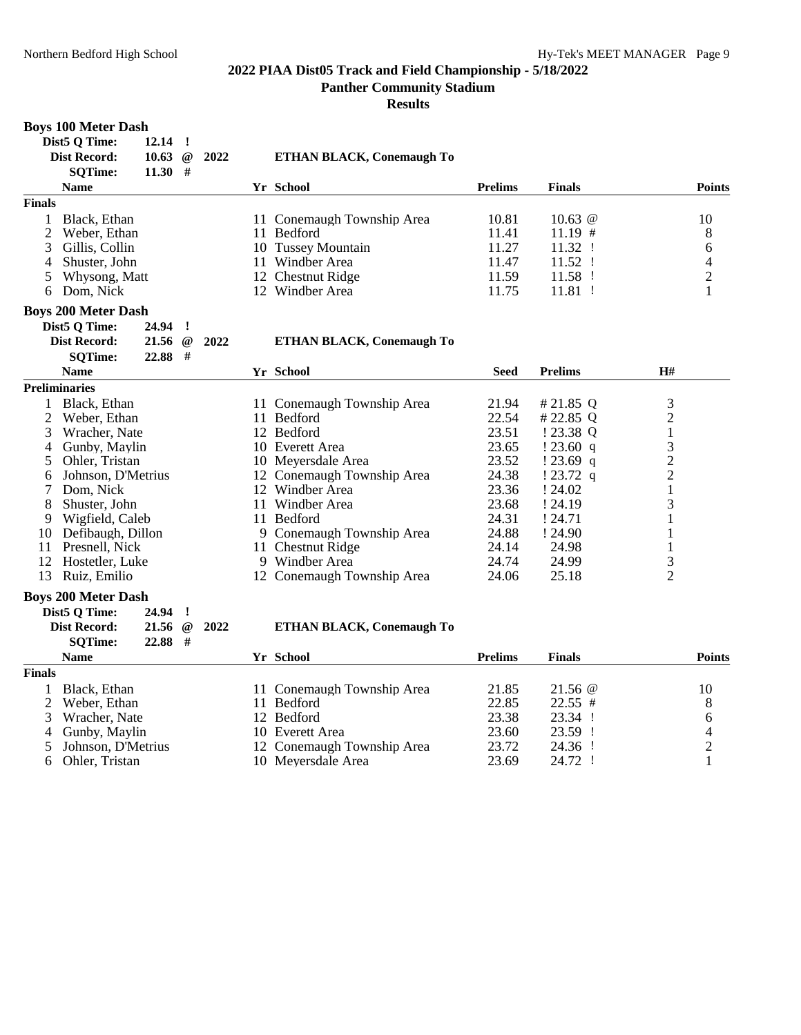**Panther Community Stadium**

| <b>Boys 100 Meter Dash</b>      |                    |          |      |                                  |                |                |                |
|---------------------------------|--------------------|----------|------|----------------------------------|----------------|----------------|----------------|
| Dist5 Q Time:                   | 12.14              | $\cdot$  |      |                                  |                |                |                |
| <b>Dist Record:</b>             | 10.63              | $\omega$ | 2022 | <b>ETHAN BLACK, Conemaugh To</b> |                |                |                |
| <b>SQTime:</b>                  | $11.30$ #          |          |      |                                  |                |                |                |
| <b>Name</b>                     |                    |          |      | Yr School                        | <b>Prelims</b> | <b>Finals</b>  | <b>Points</b>  |
| <b>Finals</b>                   |                    |          |      |                                  |                |                |                |
| Black, Ethan<br>$\mathbf{1}$    |                    |          |      | 11 Conemaugh Township Area       | 10.81          | 10.63 $@$      | 10             |
| $\overline{2}$<br>Weber, Ethan  |                    |          |      | 11 Bedford                       | 11.41          | $11.19$ #      | 8              |
| 3<br>Gillis, Collin             |                    |          |      | 10 Tussey Mountain               | 11.27          | 11.32 !        | 6              |
| $\overline{4}$<br>Shuster, John |                    |          |      | 11 Windber Area                  | 11.47          | 11.52 !        | $\overline{4}$ |
| 5<br>Whysong, Matt              |                    |          |      | 12 Chestnut Ridge                | 11.59          | 11.58 !        | $\overline{2}$ |
| 6 Dom, Nick                     |                    |          |      | 12 Windber Area                  | 11.75          | 11.81 !        | $\mathbf{1}$   |
| <b>Boys 200 Meter Dash</b>      |                    |          |      |                                  |                |                |                |
| Dist5 Q Time:                   | 24.94 !            |          |      |                                  |                |                |                |
| <b>Dist Record:</b>             | $21.56 \text{ @}$  |          | 2022 | <b>ETHAN BLACK, Conemaugh To</b> |                |                |                |
| <b>SQTime:</b>                  | 22.88 #            |          |      |                                  |                |                |                |
| <b>Name</b>                     |                    |          |      | Yr School                        | <b>Seed</b>    | <b>Prelims</b> | H#             |
| <b>Preliminaries</b>            |                    |          |      |                                  |                |                |                |
| 1 Black, Ethan                  |                    |          |      | 11 Conemaugh Township Area       | 21.94          | # 21.85 $Q$    | 3              |
| $\overline{2}$<br>Weber, Ethan  |                    |          |      | 11 Bedford                       | 22.54          | #22.85 Q       | $\overline{c}$ |
| 3<br>Wracher, Nate              |                    |          |      | 12 Bedford                       | 23.51          | ! 23.38 Q      | $\mathbf{1}$   |
| Gunby, Maylin<br>4              |                    |          |      | 10 Everett Area                  | 23.65          | !23.60 q       | $\frac{3}{2}$  |
| 5<br>Ohler, Tristan             |                    |          |      | 10 Meyersdale Area               | 23.52          | $!23.69$ q     |                |
| Johnson, D'Metrius<br>6         |                    |          |      | 12 Conemaugh Township Area       | 24.38          | $!23.72$ q     | $\overline{2}$ |
| $\tau$<br>Dom, Nick             |                    |          |      | 12 Windber Area                  | 23.36          | ! 24.02        | $\mathbf{1}$   |
| 8<br>Shuster, John              |                    |          |      | 11 Windber Area                  | 23.68          | ! 24.19        | 3              |
| 9 Wigfield, Caleb               |                    |          |      | 11 Bedford                       | 24.31          | ! 24.71        | $\mathbf{1}$   |
| 10 Defibaugh, Dillon            |                    |          |      | 9 Conemaugh Township Area        | 24.88          | ! 24.90        | 1              |
| Presnell, Nick<br>11            |                    |          |      | 11 Chestnut Ridge                | 24.14          | 24.98          | $\mathbf{1}$   |
| 12<br>Hostetler, Luke           |                    |          |      | 9 Windber Area                   | 24.74          | 24.99          | 3              |
| Ruiz, Emilio<br>13              |                    |          |      | 12 Conemaugh Township Area       | 24.06          | 25.18          | $\overline{2}$ |
| <b>Boys 200 Meter Dash</b>      |                    |          |      |                                  |                |                |                |
| Dist5 Q Time:                   | 24.94 !            |          |      |                                  |                |                |                |
| <b>Dist Record:</b>             | $21.56 \text{ } @$ |          | 2022 | <b>ETHAN BLACK, Conemaugh To</b> |                |                |                |
| <b>SOTime:</b>                  | $22.88$ #          |          |      |                                  |                |                |                |
| <b>Name</b>                     |                    |          |      | Yr School                        | <b>Prelims</b> | <b>Finals</b>  | <b>Points</b>  |
| <b>Finals</b>                   |                    |          |      |                                  |                |                |                |
| Black, Ethan<br>1               |                    |          |      | 11 Conemaugh Township Area       | 21.85          | $21.56 \ @$    | 10             |
| $\overline{2}$<br>Weber, Ethan  |                    |          |      | 11 Bedford                       | 22.85          | $22.55$ #      | 8              |
| 3<br>Wracher, Nate              |                    |          |      | 12 Bedford                       | 23.38          | 23.34 !        | 6              |
| 4<br>Gunby, Maylin              |                    |          |      | 10 Everett Area                  | 23.60          | 23.59 !        |                |
| 5<br>Johnson, D'Metrius         |                    |          |      | 12 Conemaugh Township Area       | 23.72          | 24.36 !        | $\frac{4}{2}$  |
| 6<br>Ohler, Tristan             |                    |          |      | 10 Meyersdale Area               | 23.69          | 24.72 !        | $\mathbf{1}$   |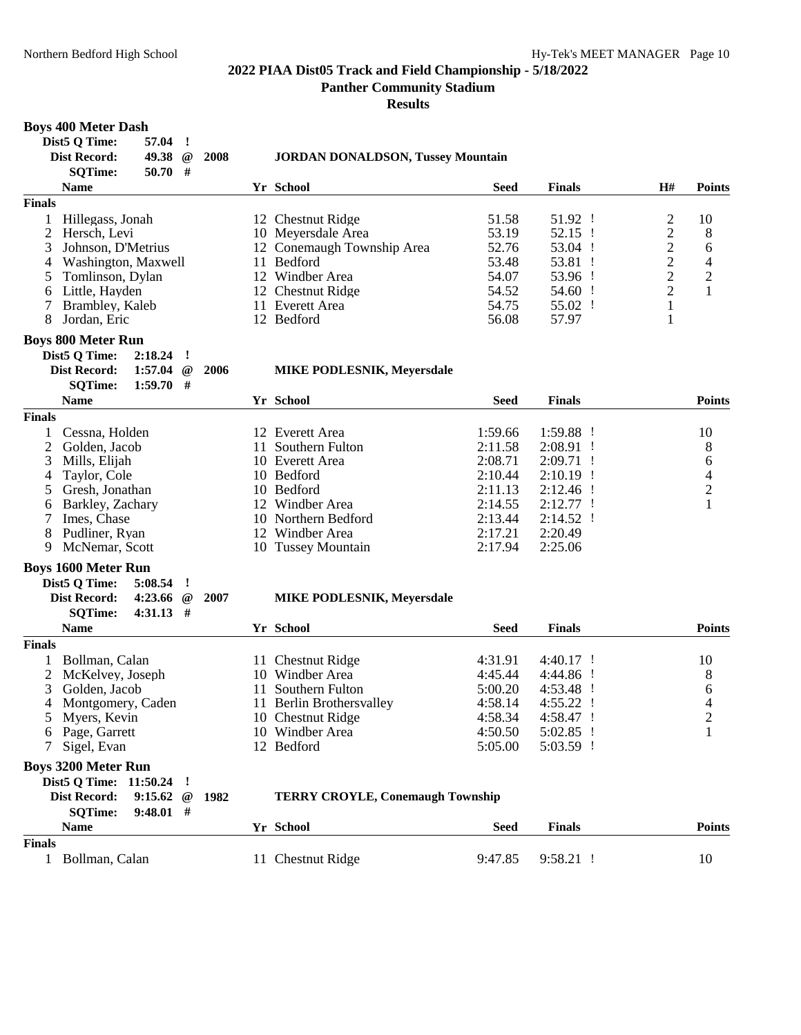**Panther Community Stadium**

**Results**

# **Boys 400 Meter Dash**

| Dist5 Q Time:<br>57.04                                     | $\cdot$ !               |      |                                          |             |               |                |                |
|------------------------------------------------------------|-------------------------|------|------------------------------------------|-------------|---------------|----------------|----------------|
| 49.38<br><b>Dist Record:</b>                               | $^{\, \circledR}$       | 2008 | <b>JORDAN DONALDSON, Tussey Mountain</b> |             |               |                |                |
| $50.70$ #<br><b>SQTime:</b>                                |                         |      |                                          |             |               |                |                |
| <b>Name</b>                                                |                         |      | Yr School                                | <b>Seed</b> | <b>Finals</b> | H#             | <b>Points</b>  |
| <b>Finals</b>                                              |                         |      |                                          |             |               |                |                |
| Hillegass, Jonah<br>1                                      |                         |      | 12 Chestnut Ridge                        | 51.58       | 51.92 !       | $\overline{c}$ | 10             |
| 2<br>Hersch, Levi                                          |                         |      | 10 Meyersdale Area                       | 53.19       | 52.15 !       | $\overline{c}$ | 8              |
| 3<br>Johnson, D'Metrius                                    |                         |      | 12 Conemaugh Township Area               | 52.76       | 53.04 !       | $\overline{c}$ | 6              |
| Washington, Maxwell<br>4                                   |                         |      | 11 Bedford                               | 53.48       | 53.81 !       | $\overline{c}$ | 4              |
| 5<br>Tomlinson, Dylan                                      |                         |      | 12 Windber Area                          | 54.07       | 53.96 !       | $\overline{c}$ | $\overline{c}$ |
| Little, Hayden<br>6                                        |                         |      | 12 Chestnut Ridge                        | 54.52       | 54.60 !       | $\overline{2}$ | $\mathbf{1}$   |
| 7<br>Brambley, Kaleb                                       |                         |      | 11 Everett Area                          | 54.75       | 55.02 !       | $\mathbf{1}$   |                |
| 8<br>Jordan, Eric                                          |                         |      | 12 Bedford                               | 56.08       | 57.97         | 1              |                |
| <b>Boys 800 Meter Run</b>                                  |                         |      |                                          |             |               |                |                |
| Dist5 Q Time:<br>$2:18.24$ !                               |                         |      |                                          |             |               |                |                |
| Dist Record:<br>1:57.04                                    | $^{\,}$                 | 2006 | <b>MIKE PODLESNIK, Meyersdale</b>        |             |               |                |                |
| $1:59.70$ #<br><b>SQTime:</b>                              |                         |      |                                          |             |               |                |                |
| <b>Name</b>                                                |                         |      | Yr School                                | <b>Seed</b> | <b>Finals</b> |                | <b>Points</b>  |
| <b>Finals</b>                                              |                         |      |                                          |             |               |                |                |
| Cessna, Holden<br>1                                        |                         |      | 12 Everett Area                          | 1:59.66     | $1:59.88$ !   |                | 10             |
| 2<br>Golden, Jacob                                         |                         |      | 11 Southern Fulton                       | 2:11.58     | $2:08.91$ !   |                | 8              |
| 3<br>Mills, Elijah                                         |                         |      | 10 Everett Area                          | 2:08.71     | $2:09.71$ !   |                | 6              |
| Taylor, Cole<br>4                                          |                         |      | 10 Bedford                               | 2:10.44     | $2:10.19$ !   |                | 4              |
| Gresh, Jonathan<br>5                                       |                         |      | 10 Bedford                               | 2:11.13     | $2:12.46$ !   |                | $\overline{c}$ |
| Barkley, Zachary<br>6                                      |                         |      | 12 Windber Area                          | 2:14.55     | $2:12.77$ !   |                | $\mathbf{1}$   |
| Imes, Chase<br>7                                           |                         |      | 10 Northern Bedford                      | 2:13.44     | $2:14.52$ !   |                |                |
| 8<br>Pudliner, Ryan                                        |                         |      | 12 Windber Area                          | 2:17.21     | 2:20.49       |                |                |
| 9<br>McNemar, Scott                                        |                         |      | 10 Tussey Mountain                       | 2:17.94     | 2:25.06       |                |                |
|                                                            |                         |      |                                          |             |               |                |                |
| <b>Boys 1600 Meter Run</b>                                 |                         |      |                                          |             |               |                |                |
| Dist5 Q Time:<br>5:08.54<br><b>Dist Record:</b><br>4:23.66 | л.<br>$^{\, \circledR}$ |      |                                          |             |               |                |                |
| $4:31.13$ #                                                |                         | 2007 | <b>MIKE PODLESNIK, Meyersdale</b>        |             |               |                |                |
| <b>SQTime:</b><br><b>Name</b>                              |                         |      | Yr School                                | <b>Seed</b> | <b>Finals</b> |                | <b>Points</b>  |
| <b>Finals</b>                                              |                         |      |                                          |             |               |                |                |
| Bollman, Calan<br>1                                        |                         |      | 11 Chestnut Ridge                        | 4:31.91     | $4:40.17$ !   |                | 10             |
| 2<br>McKelvey, Joseph                                      |                         |      | 10 Windber Area                          | 4:45.44     | 4:44.86 !     |                | 8              |
| 3<br>Golden, Jacob                                         |                         |      | 11 Southern Fulton                       | 5:00.20     | 4:53.48 !     |                | 6              |
| 4<br>Montgomery, Caden                                     |                         |      | 11 Berlin Brothersvalley                 | 4:58.14     | 4:55.22 !     |                | 4              |
| 5<br>Myers, Kevin                                          |                         |      | 10 Chestnut Ridge                        | 4:58.34     | 4:58.47 !     |                | $\overline{2}$ |
| 6 Page, Garrett                                            |                         |      | 10 Windber Area                          | 4:50.50     | $5:02.85$ !   |                |                |
| Sigel, Evan                                                |                         |      | 12 Bedford                               | 5:05.00     | 5:03.59 !     |                | 1              |
|                                                            |                         |      |                                          |             |               |                |                |
| <b>Boys 3200 Meter Run</b>                                 |                         |      |                                          |             |               |                |                |
| Dist5 Q Time: 11:50.24                                     | J                       |      |                                          |             |               |                |                |
| <b>Dist Record:</b><br>9:15.62                             | $^{\, \circledR}$       | 1982 | <b>TERRY CROYLE, Conemaugh Township</b>  |             |               |                |                |
| <b>SQTime:</b><br>9:48.01                                  | #                       |      |                                          |             |               |                |                |
| <b>Name</b>                                                |                         |      | Yr School                                | <b>Seed</b> | <b>Finals</b> |                | <b>Points</b>  |
| <b>Finals</b>                                              |                         |      |                                          |             |               |                |                |
| 1 Bollman, Calan                                           |                         |      | 11 Chestnut Ridge                        | 9:47.85     | 9:58.21 !     |                | 10             |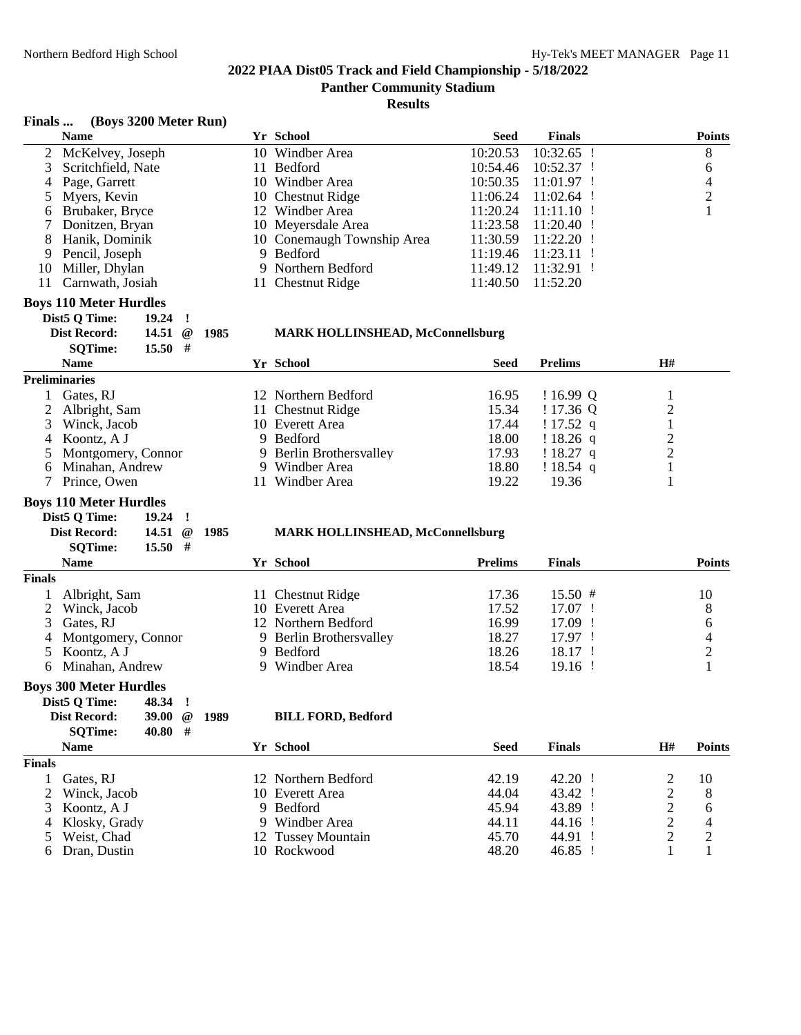#### **Results**

#### **Finals ... (Boys 3200 Meter Run)**

|    | $\sum_{i=1}^{n}$     |                            |             |                         |               |
|----|----------------------|----------------------------|-------------|-------------------------|---------------|
|    | <b>Name</b>          | Yr School                  | <b>Seed</b> | <b>Finals</b>           | <b>Points</b> |
|    | 2 McKelvey, Joseph   | 10 Windber Area            | 10:20.53    | 10:32.65                | 8             |
|    | 3 Scritchfield, Nate | 11 Bedford                 | 10:54.46    | 10:52.37                | 6             |
|    | 4 Page, Garrett      | 10 Windber Area            | 10:50.35    | $11:01.97$ !            | 4             |
|    | 5 Myers, Kevin       | 10 Chestnut Ridge          | 11:06.24    | 11:02.64                | 2             |
|    | 6 Brubaker, Bryce    | 12 Windber Area            | 11:20.24    | $11:11.10$ !            |               |
|    | 7 Donitzen, Bryan    | 10 Meyersdale Area         |             | $11:23.58$ $11:20.40$ ! |               |
|    | 8 Hanik, Dominik     | 10 Conemaugh Township Area |             | $11:30.59$ $11:22.20$ ! |               |
|    | 9 Pencil, Joseph     | 9 Bedford                  | 11:19.46    | $11:23.11$ !            |               |
| 10 | Miller, Dhylan       | 9 Northern Bedford         | 11:49.12    | $11:32.91$ !            |               |
| 11 | Carnwath, Josiah     | 11 Chestnut Ridge          | 11:40.50    | 11:52.20                |               |
|    |                      |                            |             |                         |               |

#### **Boys 110 Meter Hurdles**

| Dist5 O Time:       | $19.24$ !           |     |  |
|---------------------|---------------------|-----|--|
| <b>Dist Record:</b> | 14.51 $\omega$ 1985 |     |  |
| <b>SOTime:</b>      | 15.50               | - # |  |

#### **Dist Record: 14.51 @ 1985 MARK HOLLINSHEAD, McConnellsburg**

| <b>Name</b>          | <b>Yr School</b>        | <b>Seed</b> | <b>Prelims</b> | H# |  |
|----------------------|-------------------------|-------------|----------------|----|--|
| <b>Preliminaries</b> |                         |             |                |    |  |
| Gates, RJ            | 12 Northern Bedford     | 16.95       | $16.99 \Omega$ |    |  |
| 2 Albright, Sam      | 11 Chestnut Ridge       | 15.34       | !17.36Q        |    |  |
| 3 Winck, Jacob       | 10 Everett Area         | 17.44       | $17.52$ q      |    |  |
| 4 Koontz, A J        | 9 Bedford               | 18.00       | $!18.26$ q     |    |  |
| 5 Montgomery, Connor | 9 Berlin Brothersvalley | 17.93       | $18.27$ q      |    |  |
| 6 Minahan, Andrew    | 9 Windber Area          | 18.80       | $!18.54$ q     |    |  |
| Prince, Owen         | Windber Area            | 19.22       | 19.36          |    |  |

# **Boys 110 Meter Hurdles<br>Dist5 Q Time: 19.24 !**

**Dist5 Q Time:**<br>**Dist Record:** 

| t Record:      | 14.51 $\omega$ 1985 | <b>MARK HOLLINSHEAD, McConnellsburg</b> |
|----------------|---------------------|-----------------------------------------|
| <b>SOTime:</b> | $15.50$ #           |                                         |

|               | $15.50$ #<br><b>SOTime:</b> |                         |                |               |               |
|---------------|-----------------------------|-------------------------|----------------|---------------|---------------|
|               | <b>Name</b>                 | Yr School               | <b>Prelims</b> | <b>Finals</b> | <b>Points</b> |
| <b>Finals</b> |                             |                         |                |               |               |
|               | Albright, Sam               | 11 Chestnut Ridge       | 17.36          | $15.50 \#$    | 10            |
|               | 2 Winck, Jacob              | 10 Everett Area         | 17.52          | $17.07$ !     | 8             |
|               | 3 Gates, RJ                 | 12 Northern Bedford     | 16.99          | 17.09 !       | 6             |
|               | 4 Montgomery, Connor        | 9 Berlin Brothersvalley | 18.27          | 17.97 !       | 4             |
|               | 5 Koontz, A J               | 9 Bedford               | 18.26          | $18.17$ !     |               |
|               | Minahan, Andrew             | Windber Area            | 18.54          | $19.16$ !     |               |

#### **Boys 300 Meter Hurdles**

| Dist5 O Time:  | 48.34 !        |     |  |
|----------------|----------------|-----|--|
| Dist Record:   | 39.00 $@$ 1989 |     |  |
| <b>SOTime:</b> | 40.80          | $+$ |  |
| <b>Name</b>    |                |     |  |

#### $BILL$  **FORD**, Bedford

|               | <b>Name</b>     | Yr School           | Seed  | <b>Finals</b> | H# | <b>Points</b> |
|---------------|-----------------|---------------------|-------|---------------|----|---------------|
| <b>Finals</b> |                 |                     |       |               |    |               |
|               | Gates, RJ       | 12 Northern Bedford | 42.19 | 42.20 !       |    | 10            |
|               | 2 Winck, Jacob  | 10 Everett Area     | 44.04 | 43.42 !       |    | 8             |
|               | 3 Koontz, A J   | 9 Bedford           | 45.94 | 43.89 !       |    |               |
|               | 4 Klosky, Grady | 9 Windber Area      | 44.11 | 44.16 !       |    |               |
|               | 5 Weist, Chad   | 12 Tussey Mountain  | 45.70 | 44.91 !       |    | റ             |
|               | 6 Dran, Dustin  | 10 Rockwood         | 48.20 | $46.85$ !     |    |               |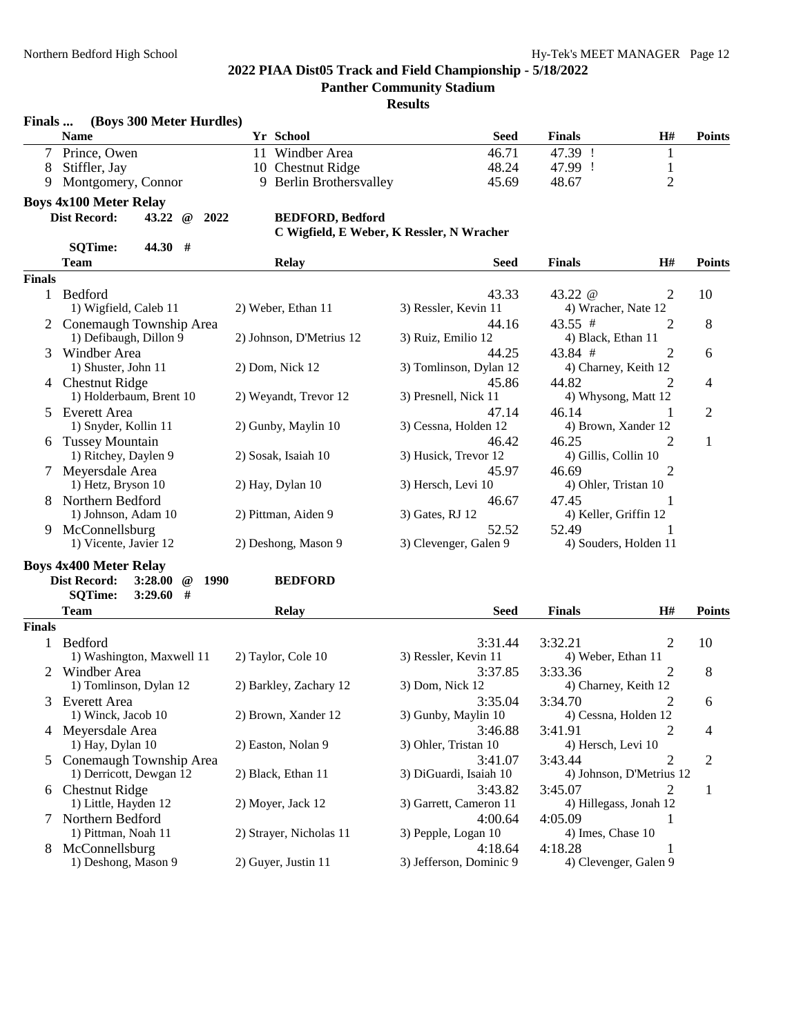**Finals ... (Boys 300 Meter Hurdles)**

# **2022 PIAA Dist05 Track and Field Championship - 5/18/2022**

**Panther Community Stadium**

|               | <b>Name</b>                                      | Yr School                | <b>Seed</b>                               | <b>Finals</b>          | H#                       | <b>Points</b>  |
|---------------|--------------------------------------------------|--------------------------|-------------------------------------------|------------------------|--------------------------|----------------|
| $\tau$        | Prince, Owen                                     | Windber Area<br>11       | 46.71                                     | 47.39 !                | 1                        |                |
| 8             | Stiffler, Jay                                    | 10 Chestnut Ridge        | 48.24                                     | 47.99 !                | 1                        |                |
| 9             | Montgomery, Connor                               | 9 Berlin Brothersvalley  | 45.69                                     | 48.67                  | $\overline{2}$           |                |
|               | <b>Boys 4x100 Meter Relay</b>                    |                          |                                           |                        |                          |                |
|               | <b>Dist Record:</b><br>43.22<br>$^{\,a}$<br>2022 | <b>BEDFORD, Bedford</b>  |                                           |                        |                          |                |
|               |                                                  |                          | C Wigfield, E Weber, K Ressler, N Wracher |                        |                          |                |
|               | 44.30 #<br><b>SQTime:</b>                        |                          |                                           |                        |                          |                |
|               |                                                  |                          |                                           |                        |                          |                |
|               | <b>Team</b>                                      | <b>Relay</b>             | <b>Seed</b>                               | <b>Finals</b>          | H#                       | <b>Points</b>  |
| <b>Finals</b> |                                                  |                          |                                           |                        |                          |                |
|               | 1 Bedford                                        |                          | 43.33                                     | 43.22 $@$              | $\overline{2}$           | 10             |
|               | 1) Wigfield, Caleb 11                            | 2) Weber, Ethan 11       | 3) Ressler, Kevin 11                      | 4) Wracher, Nate 12    |                          |                |
|               | 2 Conemaugh Township Area                        |                          | 44.16                                     | 43.55 #                | 2                        | 8              |
|               | 1) Defibaugh, Dillon 9                           | 2) Johnson, D'Metrius 12 | 3) Ruiz, Emilio 12                        | 4) Black, Ethan 11     |                          |                |
| 3             | Windber Area                                     |                          | 44.25                                     | 43.84 #                | 2                        | 6              |
|               | 1) Shuster, John 11                              | 2) Dom, Nick 12          | 3) Tomlinson, Dylan 12                    | 4) Charney, Keith 12   |                          |                |
|               | 4 Chestnut Ridge                                 |                          | 45.86                                     | 44.82                  | 2                        | 4              |
|               | 1) Holderbaum, Brent 10                          | 2) Weyandt, Trevor 12    | 3) Presnell, Nick 11                      | 4) Whysong, Matt 12    |                          |                |
| 5             | <b>Everett Area</b>                              |                          | 47.14                                     | 46.14                  | 1                        | 2              |
|               | 1) Snyder, Kollin 11                             | 2) Gunby, Maylin 10      | 3) Cessna, Holden 12                      | 4) Brown, Xander 12    |                          |                |
|               | 6 Tussey Mountain                                |                          | 46.42                                     | 46.25                  | 2                        | 1              |
|               | 1) Ritchey, Daylen 9                             | 2) Sosak, Isaiah 10      | 3) Husick, Trevor 12                      | 4) Gillis, Collin 10   |                          |                |
|               | 7 Meyersdale Area                                |                          | 45.97                                     | 46.69                  | 2                        |                |
|               | 1) Hetz, Bryson 10                               | 2) Hay, Dylan 10         | 3) Hersch, Levi 10                        | 4) Ohler, Tristan 10   |                          |                |
| 8             | Northern Bedford                                 |                          | 46.67                                     | 47.45                  | 1                        |                |
|               | 1) Johnson, Adam 10                              | 2) Pittman, Aiden 9      | 3) Gates, RJ 12                           | 4) Keller, Griffin 12  |                          |                |
|               |                                                  |                          |                                           | 52.49                  |                          |                |
| 9.            | McConnellsburg                                   |                          | 52.52                                     |                        | 1                        |                |
|               | 1) Vicente, Javier 12                            | 2) Deshong, Mason 9      | 3) Clevenger, Galen 9                     | 4) Souders, Holden 11  |                          |                |
|               | <b>Boys 4x400 Meter Relay</b>                    |                          |                                           |                        |                          |                |
|               | <b>Dist Record:</b><br>3:28.00<br>@ 1990         | <b>BEDFORD</b>           |                                           |                        |                          |                |
|               | <b>SQTime:</b><br>$3:29.60$ #                    |                          |                                           |                        |                          |                |
|               | <b>Team</b>                                      | <b>Relay</b>             | <b>Seed</b>                               | <b>Finals</b>          | H#                       | <b>Points</b>  |
| <b>Finals</b> |                                                  |                          |                                           |                        |                          |                |
|               | 1 Bedford                                        |                          | 3:31.44                                   | 3:32.21                | 2                        | 10             |
|               | 1) Washington, Maxwell 11                        | 2) Taylor, Cole 10       | 3) Ressler, Kevin 11                      | 4) Weber, Ethan 11     |                          |                |
|               | 2 Windber Area                                   |                          | 3:37.85                                   | 3:33.36                | 2                        | 8              |
|               | 1) Tomlinson, Dylan 12                           | 2) Barkley, Zachary 12   | 3) Dom, Nick 12                           | 4) Charney, Keith 12   |                          |                |
| 3             | <b>Everett Area</b>                              |                          | 3:35.04                                   | 3:34.70                | 2                        | 6              |
|               | 1) Winck, Jacob 10                               | 2) Brown, Xander 12      | 3) Gunby, Maylin 10                       | 4) Cessna, Holden 12   |                          |                |
|               | 4 Meyersdale Area                                |                          | 3:46.88                                   | 3:41.91                | 2                        | 4              |
|               | 1) Hay, Dylan 10                                 | 2) Easton, Nolan 9       | 3) Ohler, Tristan 10                      | 4) Hersch, Levi 10     |                          |                |
|               |                                                  |                          |                                           |                        |                          |                |
|               | 5 Conemaugh Township Area                        |                          | 3:41.07                                   | 3:43.44                | 2                        | $\overline{c}$ |
|               | 1) Derricott, Dewgan 12                          | 2) Black, Ethan 11       | 3) DiGuardi, Isaiah 10                    |                        | 4) Johnson, D'Metrius 12 |                |
|               | 6 Chestnut Ridge                                 |                          | 3:43.82                                   | 3:45.07                | 2                        | 1              |
|               | 1) Little, Hayden 12                             | 2) Moyer, Jack 12        | 3) Garrett, Cameron 11                    | 4) Hillegass, Jonah 12 |                          |                |
|               | 7 Northern Bedford                               |                          | 4:00.64                                   | 4:05.09                | 1                        |                |
|               | 1) Pittman, Noah 11                              | 2) Strayer, Nicholas 11  | 3) Pepple, Logan 10                       | 4) Imes, Chase 10      |                          |                |
|               | 8 McConnellsburg                                 |                          | 4:18.64                                   | 4:18.28                |                          |                |
|               | 1) Deshong, Mason 9                              | 2) Guyer, Justin 11      | 3) Jefferson, Dominic 9                   | 4) Clevenger, Galen 9  |                          |                |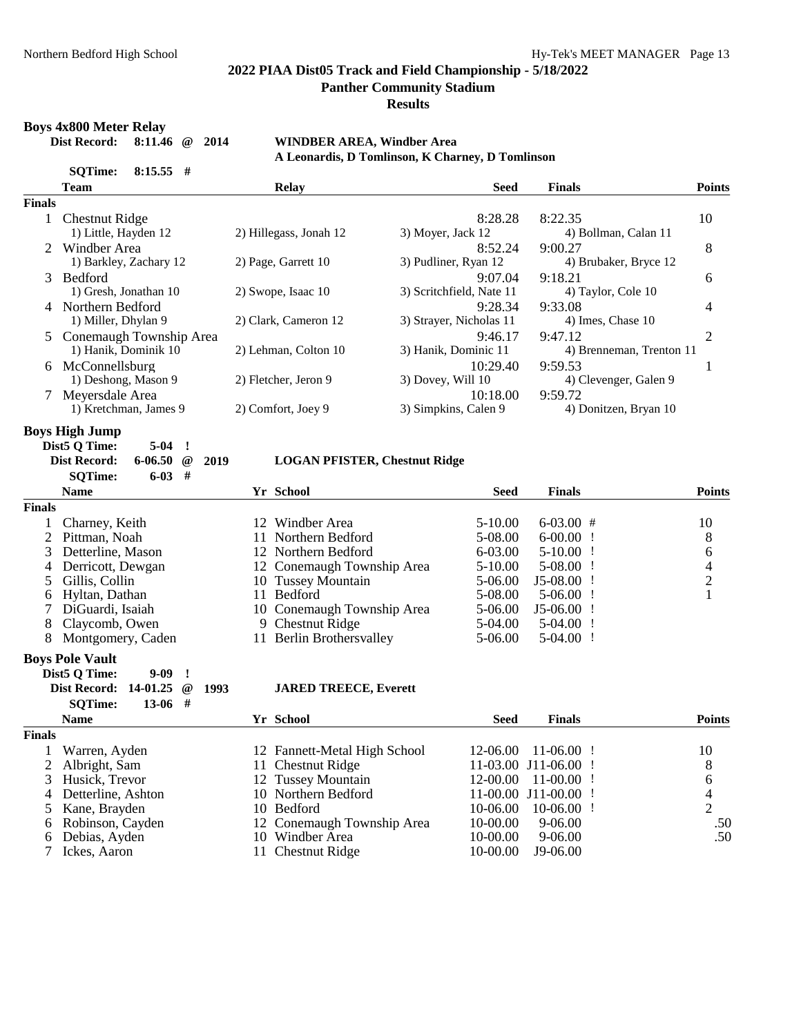**Panther Community Stadium**

**Results**

**Boys 4x800 Meter Relay<br>Dist Record:** 8:11.46 @ 2014

#### **Dist Record: 8:11.46 @ 2014 WINDBER AREA, Windber Area A Leonardis, D Tomlinson, K Charney, D Tomlinson**

|               | <b>SQTime:</b>          | $8:15.55$ # |                   |      | <b>Explicit was D</b> Tommingth, in Charner, |                          |                      |                          |                |
|---------------|-------------------------|-------------|-------------------|------|----------------------------------------------|--------------------------|----------------------|--------------------------|----------------|
|               | <b>Team</b>             |             |                   |      | Relay                                        | Seed                     | <b>Finals</b>        |                          | <b>Points</b>  |
| <b>Finals</b> |                         |             |                   |      |                                              |                          |                      |                          |                |
| $\mathbf{1}$  | <b>Chestnut Ridge</b>   |             |                   |      |                                              | 8:28.28                  | 8:22.35              |                          | 10             |
|               | 1) Little, Hayden 12    |             |                   |      | 2) Hillegass, Jonah 12                       | 3) Moyer, Jack 12        |                      | 4) Bollman, Calan 11     |                |
|               | Windber Area            |             |                   |      |                                              | 8:52.24                  | 9:00.27              |                          | 8              |
|               | 1) Barkley, Zachary 12  |             |                   |      | 2) Page, Garrett 10                          | 3) Pudliner, Ryan 12     |                      | 4) Brubaker, Bryce 12    |                |
| 3             | Bedford                 |             |                   |      |                                              | 9:07.04                  | 9:18.21              |                          | 6              |
|               | 1) Gresh, Jonathan 10   |             |                   |      | 2) Swope, Isaac 10                           | 3) Scritchfield, Nate 11 |                      | 4) Taylor, Cole 10       |                |
|               | 4 Northern Bedford      |             |                   |      |                                              | 9:28.34                  | 9:33.08              |                          | 4              |
|               | 1) Miller, Dhylan 9     |             |                   |      | 2) Clark, Cameron 12                         | 3) Strayer, Nicholas 11  |                      | 4) Imes, Chase 10        |                |
| 5             | Conemaugh Township Area |             |                   |      |                                              | 9:46.17                  | 9:47.12              |                          | 2              |
|               | 1) Hanik, Dominik 10    |             |                   |      | 2) Lehman, Colton 10                         | 3) Hanik, Dominic 11     |                      | 4) Brenneman, Trenton 11 |                |
|               | 6 McConnellsburg        |             |                   |      |                                              | 10:29.40                 | 9:59.53              |                          | 1              |
|               | 1) Deshong, Mason 9     |             |                   |      | 2) Fletcher, Jeron 9                         | 3) Dovey, Will 10        |                      | 4) Clevenger, Galen 9    |                |
| 7             | Meyersdale Area         |             |                   |      |                                              | 10:18.00                 | 9:59.72              |                          |                |
|               | 1) Kretchman, James 9   |             |                   |      | 2) Comfort, Joey 9                           | 3) Simpkins, Calen 9     |                      | 4) Donitzen, Bryan 10    |                |
|               | <b>Boys High Jump</b>   |             |                   |      |                                              |                          |                      |                          |                |
|               | Dist5 Q Time:           | $5 - 04$    | J.                |      |                                              |                          |                      |                          |                |
|               | <b>Dist Record:</b>     | 6-06.50     | $^{\, \circledR}$ | 2019 | <b>LOGAN PFISTER, Chestnut Ridge</b>         |                          |                      |                          |                |
|               | <b>SQTime:</b>          | $6-03$ #    |                   |      |                                              |                          |                      |                          |                |
|               | <b>Name</b>             |             |                   |      | Yr School                                    | <b>Seed</b>              | <b>Finals</b>        |                          | <b>Points</b>  |
| <b>Finals</b> |                         |             |                   |      |                                              |                          |                      |                          |                |
| 1             | Charney, Keith          |             |                   |      | 12 Windber Area                              | 5-10.00                  | $6-03.00$ #          |                          | 10             |
| 2             | Pittman, Noah           |             |                   |      | 11 Northern Bedford                          | 5-08.00                  | $6-00.00$ !          |                          | 8              |
| 3             | Detterline, Mason       |             |                   |      | 12 Northern Bedford                          | 6-03.00                  | $5-10.00$ !          |                          | 6              |
| 4             | Derricott, Dewgan       |             |                   |      | 12 Conemaugh Township Area                   | 5-10.00                  | $5-08.00$ !          |                          | $\overline{4}$ |
| 5             | Gillis, Collin          |             |                   |      | 10 Tussey Mountain                           | 5-06.00                  | $J5-08.00$ !         |                          | $\overline{c}$ |
| 6             | Hyltan, Dathan          |             |                   |      | 11 Bedford                                   | 5-08.00                  | $5-06.00$ !          |                          | $\mathbf{1}$   |
| 7             | DiGuardi, Isaiah        |             |                   |      | 10 Conemaugh Township Area                   | 5-06.00                  | $J5-06.00$ !         |                          |                |
| 8             | Claycomb, Owen          |             |                   |      | 9 Chestnut Ridge                             | 5-04.00                  | $5-04.00$ !          |                          |                |
| 8             | Montgomery, Caden       |             |                   |      | 11 Berlin Brothersvalley                     | 5-06.00                  | $5-04.00$ !          |                          |                |
|               | <b>Boys Pole Vault</b>  |             |                   |      |                                              |                          |                      |                          |                |
|               | Dist5 Q Time:           | $9 - 09$    | $\cdot$           |      |                                              |                          |                      |                          |                |
|               | Dist Record: 14-01.25   |             | $^{\,a}$          | 1993 | <b>JARED TREECE, Everett</b>                 |                          |                      |                          |                |
|               | <b>SQTime:</b>          | $13-06$     | #                 |      |                                              |                          |                      |                          |                |
|               | <b>Name</b>             |             |                   |      | Yr School                                    | <b>Seed</b>              | <b>Finals</b>        |                          | <b>Points</b>  |
| <b>Finals</b> |                         |             |                   |      |                                              |                          |                      |                          |                |
| $\mathbf{I}$  | Warren, Ayden           |             |                   |      | 12 Fannett-Metal High School                 | 12-06.00                 | $11-06.00$ !         |                          | 10             |
| 2             | Albright, Sam           |             |                   |      | 11 Chestnut Ridge                            |                          | 11-03.00 J11-06.00 ! |                          | 8              |
| 3             | Husick, Trevor          |             |                   |      | 12 Tussey Mountain                           | 12-00.00                 | $11-00.00$ !         |                          | 6              |
| 4             | Detterline, Ashton      |             |                   |      | 10 Northern Bedford                          |                          | 11-00.00 J11-00.00 ! |                          | $\overline{4}$ |
| 5             | Kane, Brayden           |             |                   |      | 10 Bedford                                   | 10-06.00                 | $10-06.00$ !         |                          | $\overline{2}$ |
| 6             | Robinson, Cayden        |             |                   |      | 12 Conemaugh Township Area                   | 10-00.00                 | 9-06.00              |                          | .50            |
| 6             | Debias, Ayden           |             |                   |      | 10 Windber Area                              | 10-00.00                 | 9-06.00              |                          | .50            |
| 7             | Ickes, Aaron            |             |                   |      | 11 Chestnut Ridge                            | 10-00.00                 | J9-06.00             |                          |                |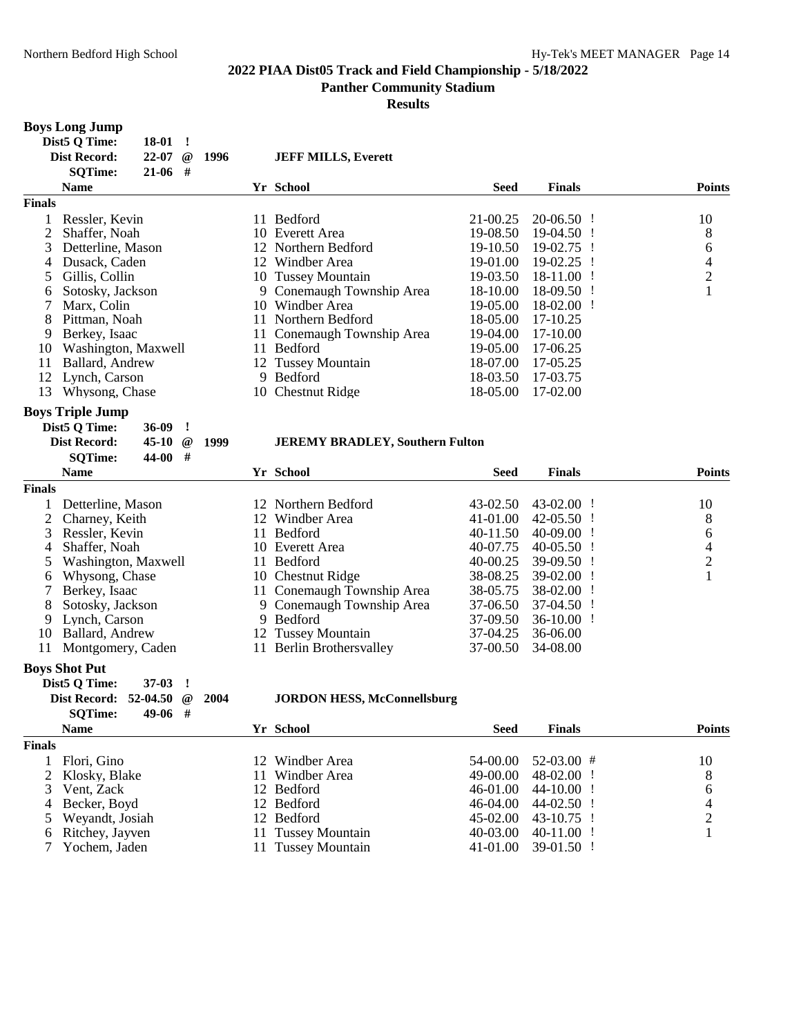**Results**

#### **Boys Long Jump**

| 18-01<br>22-07<br>$^{\,}$<br>$21-06$ #<br><b>SOTime:</b> |                                                       | <b>JEFF MILLS, Everett</b> |                                                                                                                                                                                                                        |               |               |
|----------------------------------------------------------|-------------------------------------------------------|----------------------------|------------------------------------------------------------------------------------------------------------------------------------------------------------------------------------------------------------------------|---------------|---------------|
| <b>Name</b>                                              |                                                       |                            | Seed                                                                                                                                                                                                                   | <b>Finals</b> | <b>Points</b> |
|                                                          |                                                       |                            |                                                                                                                                                                                                                        |               |               |
| Ressler, Kevin                                           |                                                       | <b>Bedford</b>             | 21-00.25                                                                                                                                                                                                               | $20-06.50$ !  | 10            |
| Shaffer, Noah                                            |                                                       |                            | 19-08.50                                                                                                                                                                                                               | 19-04.50 !    | 8             |
| Detterline, Mason                                        |                                                       |                            | 19-10.50                                                                                                                                                                                                               | 19-02.75 !    | 6             |
| Dusack, Caden                                            |                                                       | Windber Area               | 19-01.00                                                                                                                                                                                                               | $19-02.25$ !  | 4             |
| Gillis, Collin                                           |                                                       |                            | 19-03.50                                                                                                                                                                                                               | $18-11.00$ !  | 2             |
| Sotosky, Jackson                                         |                                                       |                            | 18-10.00                                                                                                                                                                                                               | $18-09.50$ !  |               |
| Marx, Colin                                              |                                                       | Windber Area               | 19-05.00                                                                                                                                                                                                               | $18-02.00$ !  |               |
| Pittman, Noah                                            |                                                       | Northern Bedford           | 18-05.00                                                                                                                                                                                                               | 17-10.25      |               |
| Berkey, Isaac                                            |                                                       |                            | 19-04.00                                                                                                                                                                                                               | 17-10.00      |               |
| Washington, Maxwell                                      |                                                       | <b>Bedford</b>             | 19-05.00                                                                                                                                                                                                               | 17-06.25      |               |
| Ballard, Andrew                                          |                                                       |                            | 18-07.00                                                                                                                                                                                                               | 17-05.25      |               |
| Lynch, Carson                                            |                                                       | Bedford                    | 18-03.50                                                                                                                                                                                                               | 17-03.75      |               |
| Whysong, Chase                                           |                                                       |                            | 18-05.00                                                                                                                                                                                                               | 17-02.00      |               |
|                                                          | Dist5 Q Time:<br><b>Dist Record:</b><br><b>Finals</b> | 1996                       | Yr School<br>11.<br>10 Everett Area<br>12 Northern Bedford<br>12<br>10 Tussey Mountain<br>9 Conemaugh Township Area<br>10.<br>11.<br>11 Conemaugh Township Area<br>11.<br>12 Tussey Mountain<br>9<br>10 Chestnut Ridge |               |               |

#### **Boys Triple Jump**

**Finals**

|      | Dist5 Q Time:<br><b>Dist Record:</b><br><b>SQTime:</b> | $36-09$<br>45-10<br>$44-00$ # | $^{\omega}$ | 1999 |     | <b>JEREMY BRADLEY, Southern Fulton</b> |             |                |               |
|------|--------------------------------------------------------|-------------------------------|-------------|------|-----|----------------------------------------|-------------|----------------|---------------|
|      | <b>Name</b>                                            |                               |             |      |     | Yr School                              | <b>Seed</b> | <b>Finals</b>  | <b>Points</b> |
| nals |                                                        |                               |             |      |     |                                        |             |                |               |
|      | Detterline, Mason                                      |                               |             |      |     | 12 Northern Bedford                    | $43-02.50$  | $43-02.00$ !   | 10            |
| 2    | Charney, Keith                                         |                               |             |      |     | 12 Windber Area                        | 41-01.00    | $42 - 05.50$ ! | 8             |
| 3    | Ressler, Kevin                                         |                               |             |      | 11. | Bedford                                | 40-11.50    | 40-09.00       | 6             |
| 4    | Shaffer, Noah                                          |                               |             |      |     | 10 Everett Area                        | 40-07.75    | $40-05.50$ !   | 4             |
| 5    | Washington, Maxwell                                    |                               |             |      | 11  | <b>Bedford</b>                         | $40-00.25$  | $39-09.50$ !   | 2             |
| 6    | Whysong, Chase                                         |                               |             |      |     | 10 Chestnut Ridge                      | 38-08.25    | 39-02.00       |               |
|      | Berkey, Isaac                                          |                               |             |      |     | 11 Conemaugh Township Area             | 38-05.75    | $38-02.00$ !   |               |
| 8    | Sotosky, Jackson                                       |                               |             |      |     | 9 Conemaugh Township Area              | 37-06.50    | $37-04.50$ !   |               |
| 9    | Lynch, Carson                                          |                               |             |      |     | 9 Bedford                              | 37-09.50    | $36-10.00$ !   |               |
| 10   | Ballard, Andrew                                        |                               |             |      |     | 12 Tussey Mountain                     | 37-04.25    | 36-06.00       |               |
| 11.  | Montgomery, Caden                                      |                               |             |      | 11  | <b>Berlin Brothersvalley</b>           | 37-00.50    | 34-08.00       |               |
|      |                                                        |                               |             |      |     |                                        |             |                |               |

#### **Boys Shot Put**

| Dist5 O Time:                  | $37-03$ ! |  |                                    |
|--------------------------------|-----------|--|------------------------------------|
| Dist Record: $52-04.50$ @ 2004 |           |  | <b>JORDON HESS, McConnellsburg</b> |
| <b>SOTime:</b>                 | $49-06$ # |  |                                    |

|               | <b>Name</b>       | Yr School          | <b>Seed</b> | <b>Finals</b>       | <b>Points</b> |
|---------------|-------------------|--------------------|-------------|---------------------|---------------|
| <b>Finals</b> |                   |                    |             |                     |               |
|               | Flori, Gino       | 12 Windber Area    | 54-00.00    | $52-03.00$ #        | 10            |
|               | 2 Klosky, Blake   | 11 Windber Area    | 49-00.00    | $48-02.00$ !        | 8             |
|               | 3 Vent, Zack      | 12 Bedford         | 46-01.00    | $44-10.00$ !        | 6             |
|               | 4 Becker, Boyd    | 12 Bedford         | 46-04.00    | $44-02.50$ !        | 4             |
|               | 5 Weyandt, Josiah | 12 Bedford         | 45-02.00    | $43-10.75$ !        |               |
|               | 6 Ritchey, Jayven | 11 Tussey Mountain | 40-03.00    | $40-11.00$ !        |               |
|               | 7 Yochem, Jaden   | 11 Tussey Mountain |             | 41-01.00 39-01.50 ! |               |
|               |                   |                    |             |                     |               |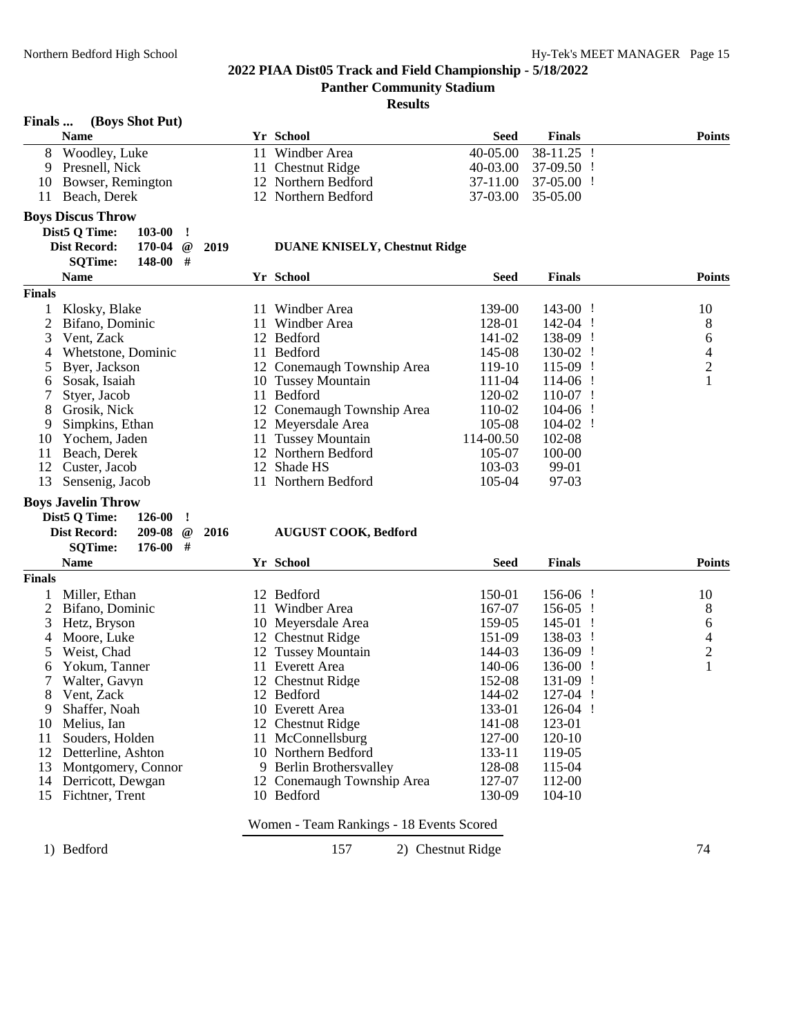#### **Results**

#### **Finals ... (Boys Shot Put)**

|               | $\sim$                                     |     |                                      |              |               |               |
|---------------|--------------------------------------------|-----|--------------------------------------|--------------|---------------|---------------|
|               | <b>Name</b>                                |     | Yr School                            | <b>Seed</b>  | <b>Finals</b> | <b>Points</b> |
| 8             | Woodley, Luke                              | 11  | Windber Area                         | $40 - 05.00$ | $38-11.25$ !  |               |
| 9             | Presnell, Nick                             |     | 11 Chestnut Ridge                    | 40-03.00     | $37-09.50$ !  |               |
| 10            | Bowser, Remington                          |     | 12 Northern Bedford                  | 37-11.00     | $37-05.00$ !  |               |
| 11            | Beach, Derek                               |     | 12 Northern Bedford                  | 37-03.00     | 35-05.00      |               |
|               | <b>Boys Discus Throw</b>                   |     |                                      |              |               |               |
|               | Dist5 Q Time:<br>103-00                    |     |                                      |              |               |               |
|               | <b>Dist Record:</b><br>170-04<br>@<br>2019 |     | <b>DUANE KNISELY, Chestnut Ridge</b> |              |               |               |
|               | <b>SQTime:</b><br>148-00<br>#              |     |                                      |              |               |               |
|               | <b>Name</b>                                |     | Yr School                            | <b>Seed</b>  | <b>Finals</b> | <b>Points</b> |
| <b>Finals</b> |                                            |     |                                      |              |               |               |
|               | Klosky, Blake                              | 11  | Windber Area                         | 139-00       | $143-00$ !    | 10            |
|               | Bifano, Dominic                            | 11  | Windber Area                         | 128-01       | $142-04$ !    | 8             |
| 3             | Vent, Zack                                 |     | 12 Bedford                           | 141-02       | 138-09 !      | 6             |
| 4             | Whetstone, Dominic                         | 11- | Bedford                              | 145-08       | 130-02        | 4             |

4 Whetstone, Dominic 11 Bedford 145-08 130-02 ! 4<br>
5 Byer, Jackson 12 Conemaugh Township Area 119-10 115-09 ! 2 Byer, Jackson 12 Conemaugh Township Area 119-10 115-09 ! 2<br>Sosak, Isaiah 10 Tussey Mountain 111-04 114-06 ! 1

12 Northern Bedford 105-07 100-00<br>12 Shade HS 103-03 99-01

### **Boys Javelin Throw**

7 Styer, Jacob

| Dist5 O Time:       | $126-00$ !      |  |
|---------------------|-----------------|--|
| <b>Dist Record:</b> | $209-08$ @ 2016 |  |
| <b>SOTime:</b>      | $176-00$ #      |  |

#### **Dist Record: 209-08 @ 2016 AUGUST COOK, Bedford**

6 Sosak, Isaiah 10 Tussey Mountain 111-04 114-06 ! 1

8 Grosik, Nick 12 Conemaugh Township Area 110-02 104-06 ! 9 Simpkins, Ethan 12 Meyersdale Area 105-08 104-02 !<br>10 Yochem, Jaden 11 Tussey Mountain 114-00.50 102-08 10 Yochem, Jaden 11 Tussey Mountain 114-00.50 102-08<br>11 Beach, Derek 12 Northern Bedford 105-07 100-00

12 Custer, Jacob 12 Shade HS 103-03 99-01<br>13 Sensenig, Jacob 11 Northern Bedford 105-04 97-03 11 Northern Bedford

|               | <b>Name</b>        | Yr School |                                          | Seed   | <b>Finals</b> | <b>Points</b>  |
|---------------|--------------------|-----------|------------------------------------------|--------|---------------|----------------|
| <b>Finals</b> |                    |           |                                          |        |               |                |
|               | Miller, Ethan      |           | 12 Bedford                               | 150-01 | $156-06$ !    | 10             |
|               | Bifano, Dominic    | 11.       | Windber Area                             | 167-07 | $156-05$ !    | 8              |
| 3             | Hetz, Bryson       |           | 10 Meyersdale Area                       | 159-05 | 145-01        | 6              |
| 4             | Moore, Luke        |           | 12 Chestnut Ridge                        | 151-09 | 138-03        | 4              |
| 5             | Weist, Chad        |           | 12 Tussey Mountain                       | 144-03 | 136-09        | $\overline{2}$ |
| 6             | Yokum, Tanner      | 11.       | Everett Area                             | 140-06 | 136-00        |                |
|               | Walter, Gavyn      |           | 12 Chestnut Ridge                        | 152-08 | $131-09$ !    |                |
| 8             | Vent, Zack         | 12.       | Bedford                                  | 144-02 | $127-04$ !    |                |
| 9             | Shaffer, Noah      |           | 10 Everett Area                          | 133-01 | $126-04$ !    |                |
| 10            | Melius, Ian        |           | 12 Chestnut Ridge                        | 141-08 | 123-01        |                |
| 11            | Souders, Holden    |           | 11 McConnellsburg                        | 127-00 | 120-10        |                |
| 12            | Detterline, Ashton |           | 10 Northern Bedford                      | 133-11 | 119-05        |                |
| 13            | Montgomery, Connor |           | 9 Berlin Brothersvalley                  | 128-08 | 115-04        |                |
| 14            | Derricott, Dewgan  |           | 12 Conemaugh Township Area               | 127-07 | 112-00        |                |
| 15            | Fichtner, Trent    |           | 10 Bedford                               | 130-09 | $104-10$      |                |
|               |                    |           | Women - Team Rankings - 18 Events Scored |        |               |                |

1) Bedford 157 2) Chestnut Ridge 74